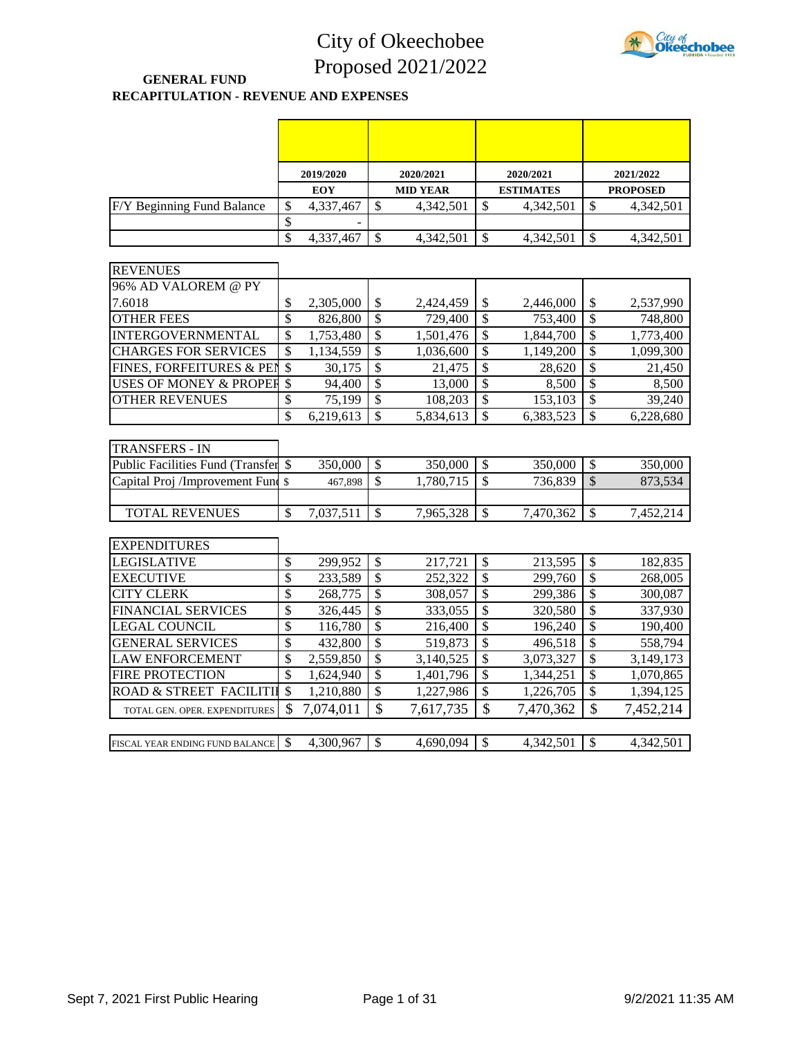### City of Okeechobee Proposed 2021/2022 **GENERAL FUND**



### **RECAPITULATION - REVENUE AND EXPENSES**

|                            |    | 2019/2020  |    | 2020/2021       | 2020/2021        | 2021/2022       |
|----------------------------|----|------------|----|-----------------|------------------|-----------------|
|                            |    | <b>EOY</b> |    | <b>MID YEAR</b> | <b>ESTIMATES</b> | <b>PROPOSED</b> |
| F/Y Beginning Fund Balance | ۰D | 4,337,467  | S  | 4,342,501       | 4,342,501        | 4,342,501       |
|                            |    |            |    |                 |                  |                 |
|                            |    | 4,337,467  | \$ | 4,342,501       | 4,342,501        | 4,342,501       |

| <b>REVENUES</b>                   |               |           |    |           |    |           |                 |
|-----------------------------------|---------------|-----------|----|-----------|----|-----------|-----------------|
| 96% AD VALOREM @ PY               |               |           |    |           |    |           |                 |
| 7.6018                            | \$            | 2,305,000 | \$ | 2,424,459 | \$ | 2,446,000 | \$<br>2,537,990 |
| <b>OTHER FEES</b>                 | Φ             | 826,800   | \$ | 729,400   | \$ | 753,400   | \$<br>748,800   |
| <b>INTERGOVERNMENTAL</b>          | J             | 1,753,480 | S  | 1,501,476 | \$ | 1,844,700 | \$<br>1,773,400 |
| <b>CHARGES FOR SERVICES</b>       | \$            | 1,134,559 | \$ | 1,036,600 | \$ | 1,149,200 | \$<br>1,099,300 |
| FINES, FORFEITURES & PEN          | \$            | 30,175    | S  | 21,475    | \$ | 28,620    | \$<br>21,450    |
| <b>USES OF MONEY &amp; PROPER</b> | <sup>\$</sup> | 94,400    | \$ | 13,000    | \$ | 8,500     | \$<br>8,500     |
| <b>OTHER REVENUES</b>             | J             | 75.199    | \$ | 108,203   | \$ | 153,103   | \$<br>39,240    |
|                                   | \$            | 6,219,613 | \$ | 5,834,613 | S  | 6,383,523 | \$<br>6,228,680 |
|                                   |               |           |    |           |    |           |                 |

| <b>TRANSFERS - IN</b>             |          |           |           |   |           |
|-----------------------------------|----------|-----------|-----------|---|-----------|
| Public Facilities Fund (Transfer  | 350,000  | 350,000   | 350,000   |   | 350,000   |
| Capital Proj /Improvement Fund \$ | 467,898  | 1,780,715 | 736,839   | ◡ | 873,534   |
|                                   |          |           |           |   |           |
| <b>TOTAL REVENUES</b>             | 7,037,51 | 7,965,328 | 7,470,362 | Φ | 7.452.214 |

| <b>EXPENDITURES</b>             |    |           |               |           |    |           |    |           |
|---------------------------------|----|-----------|---------------|-----------|----|-----------|----|-----------|
| <b>LEGISLATIVE</b>              | \$ | 299,952   | <sup>\$</sup> | 217,721   | \$ | 213,595   | \$ | 182,835   |
| <b>EXECUTIVE</b>                | \$ | 233,589   | \$            | 252,322   | S  | 299,760   | \$ | 268,005   |
| <b>CITY CLERK</b>               | \$ | 268,775   | \$            | 308,057   | S  | 299,386   | \$ | 300,087   |
| <b>FINANCIAL SERVICES</b>       | \$ | 326,445   | \$            | 333,055   | S  | 320,580   | \$ | 337,930   |
| <b>LEGAL COUNCIL</b>            | \$ | 116,780   | \$            | 216,400   | S  | 196,240   | \$ | 190,400   |
| <b>GENERAL SERVICES</b>         | \$ | 432,800   | \$            | 519,873   | S  | 496,518   | \$ | 558,794   |
| <b>LAW ENFORCEMENT</b>          | \$ | 2,559,850 | S             | 3,140,525 | S  | 3,073,327 | \$ | 3,149,173 |
| <b>FIRE PROTECTION</b>          | \$ | 1,624,940 | S             | 1,401,796 | \$ | 1,344,251 | \$ | 1,070,865 |
| ROAD & STREET FACILITI          | S  | 1,210,880 | $\mathcal{S}$ | 1,227,986 | \$ | 1,226,705 | \$ | 1,394,125 |
| TOTAL GEN. OPER. EXPENDITURES   | \$ | 7,074,011 | <sup>\$</sup> | 7,617,735 | \$ | 7,470,362 | \$ | 7,452,214 |
|                                 |    |           |               |           |    |           |    |           |
| FISCAL YEAR ENDING FUND BALANCE |    | 4.300.967 | -S            | 4,690,094 | \$ | 4,342,501 | S  | 4,342,501 |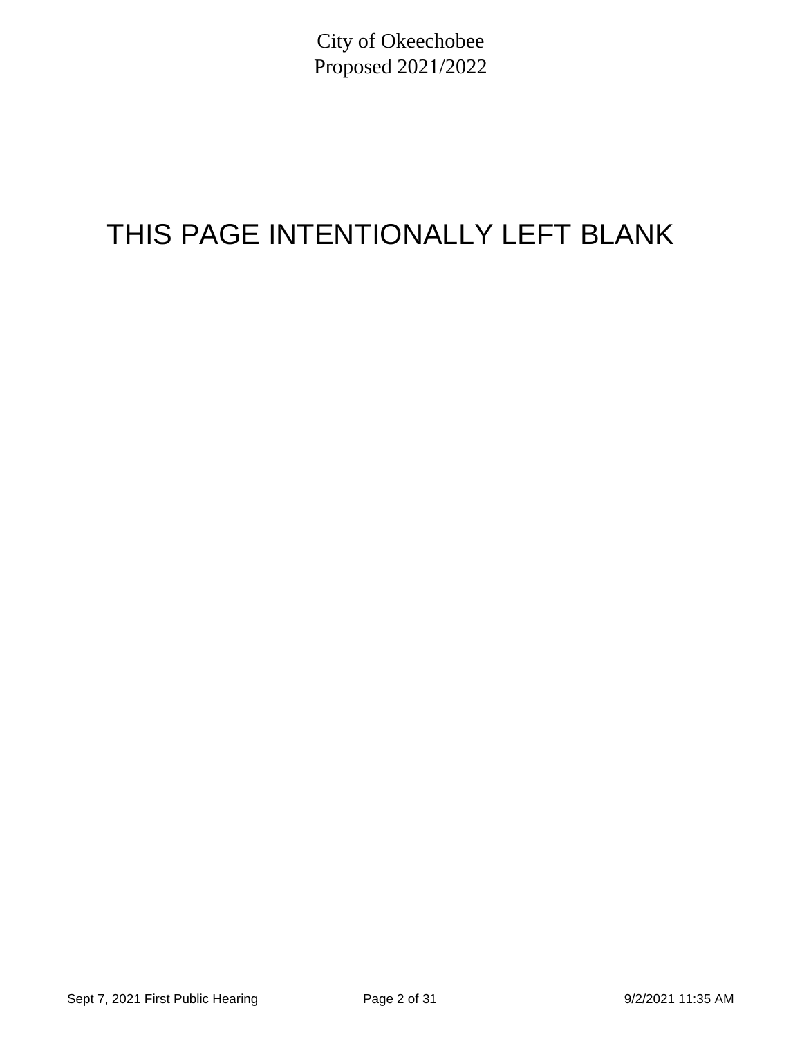# THIS PAGE INTENTIONALLY LEFT BLANK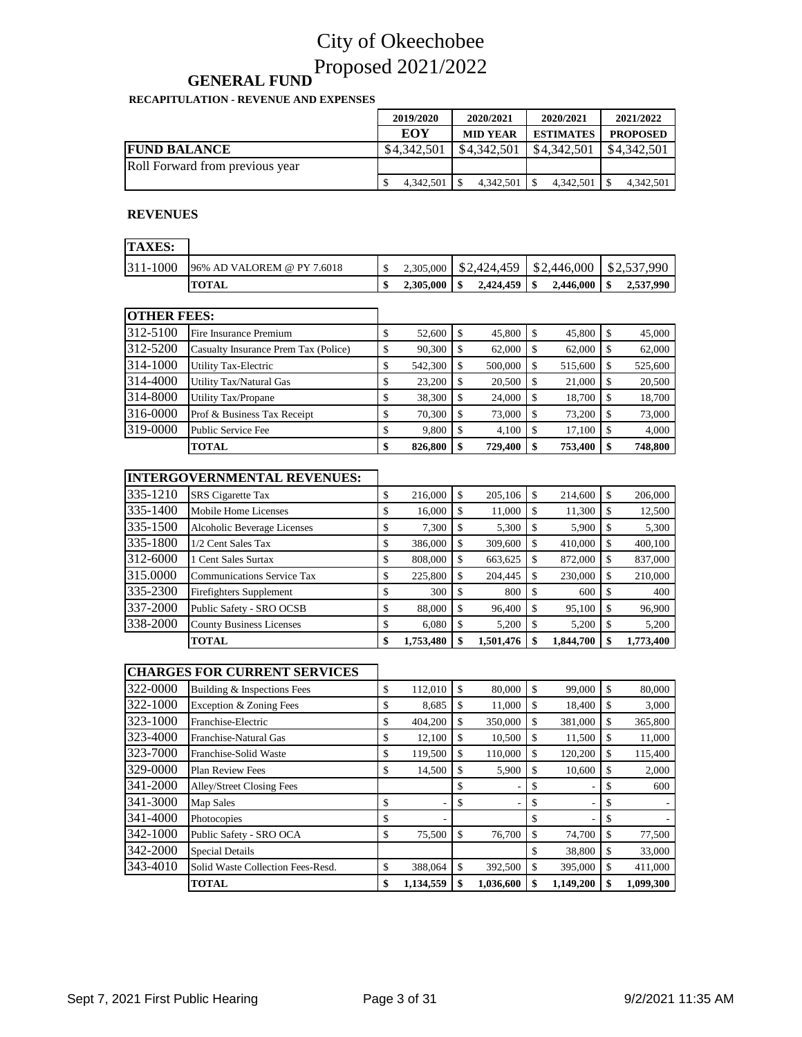**GENERAL FUND** 

#### **RECAPITULATION - REVENUE AND EXPENSES**

|                                 | 2019/2020   | 2020/2021       | 2020/2021        | 2021/2022       |
|---------------------------------|-------------|-----------------|------------------|-----------------|
|                                 | EOY         | <b>MID YEAR</b> | <b>ESTIMATES</b> | <b>PROPOSED</b> |
| <b>FUND BALANCE</b>             | \$4,342,501 | \$4,342,501     | \$4,342,501      | \$4,342,501     |
| Roll Forward from previous year |             |                 |                  |                 |
|                                 | 4,342,501   | 4.342.501       | 4.342.501        | 4.342.501       |

#### **REVENUES**

| <b>TAXES:</b>      |                                      |                      |                    |             |                      |                           |             |
|--------------------|--------------------------------------|----------------------|--------------------|-------------|----------------------|---------------------------|-------------|
| 311-1000           | 96% AD VALOREM @ PY 7.6018           | \$<br>2,305,000      |                    | \$2,424,459 | \$2,446,000          |                           | \$2,537,990 |
|                    | <b>TOTAL</b>                         | \$<br>2,305,000      | \$                 | 2,424,459   | \$<br>2,446,000      | \$                        | 2,537,990   |
|                    |                                      |                      |                    |             |                      |                           |             |
| <b>OTHER FEES:</b> |                                      |                      |                    |             |                      |                           |             |
| 312-5100           | Fire Insurance Premium               | \$<br>52,600         | \$                 | 45,800      | \$<br>45,800         | $\boldsymbol{\mathsf{S}}$ | 45,000      |
| 312-5200           | Casualty Insurance Prem Tax (Police) | \$<br>90,300         | $\mathbf{\hat{S}}$ | 62,000      | \$<br>62,000         | \$                        | 62,000      |
| 314-1000           | <b>Utility Tax-Electric</b>          | \$<br>542,300        | \$                 | 500,000     | \$<br>515,600        | \$                        | 525,600     |
| 314-4000           | <b>Utility Tax/Natural Gas</b>       | \$<br>23,200         | \$                 | 20,500      | \$<br>21,000         | \$                        | 20,500      |
| 314-8000           | <b>Utility Tax/Propane</b>           | \$<br>38,300         | \$                 | 24,000      | \$<br>18,700         | \$                        | 18,700      |
| 316-0000           | Prof & Business Tax Receipt          | \$<br>70,300         | \$                 | 73,000      | \$<br>73,200         | \$                        | 73,000      |
| 319-0000           | Public Service Fee                   | \$<br>9,800          | \$                 | 4,100       | \$<br>17,100         | \$                        | 4,000       |
|                    | <b>TOTAL</b>                         | \$<br>826,800        | \$                 | 729,400     | \$<br>753,400        | \$                        | 748,800     |
|                    |                                      |                      |                    |             |                      |                           |             |
|                    | <b>INTERGOVERNMENTAL REVENUES:</b>   |                      |                    |             |                      |                           |             |
| 335-1210           | <b>SRS</b> Cigarette Tax             | \$<br>216,000        | \$                 | 205,106     | \$<br>214,600        | \$                        | 206,000     |
| 335-1400           | Mobile Home Licenses                 | \$<br>16,000         | \$                 | 11,000      | \$<br>11,300         | \$                        | 12,500      |
| 335-1500           | Alcoholic Beverage Licenses          | \$<br>7,300          | \$                 | 5,300       | \$<br>5,900          | \$                        | 5,300       |
| 335-1800           | 1/2 Cent Sales Tax                   | \$<br>386,000        | \$                 | 309,600     | \$<br>410,000        | \$                        | 400,100     |
| 312-6000           | 1 Cent Sales Surtax                  | \$<br>808,000        | \$                 | 663,625     | \$<br>872,000        | \$                        | 837,000     |
| 315.0000           | <b>Communications Service Tax</b>    | \$<br>225,800        | \$                 | 204,445     | \$<br>230,000        | \$                        | 210,000     |
| 335-2300           | <b>Firefighters Supplement</b>       | \$<br>300            | $\mathbf{\hat{S}}$ | 800         | \$<br>600            | \$                        | 400         |
| 337-2000           | Public Safety - SRO OCSB             | \$<br>88,000         | \$                 | 96,400      | \$<br>95,100         | \$                        | 96,900      |
| 338-2000           | <b>County Business Licenses</b>      | \$<br>6,080          | \$                 | 5,200       | \$<br>5,200          | \$                        | 5,200       |
|                    | <b>TOTAL</b>                         | \$<br>1,753,480      | \$                 | 1,501,476   | \$<br>1,844,700      | \$                        | 1,773,400   |
|                    |                                      |                      |                    |             |                      |                           |             |
|                    | <b>CHARGES FOR CURRENT SERVICES</b>  |                      |                    |             |                      |                           |             |
| 322-0000           | Building & Inspections Fees          | \$<br>112,010        | $\mathbf{\hat{S}}$ | 80,000      | \$<br>99,000         | \$                        | 80,000      |
| 322-1000           | Exception & Zoning Fees              | \$<br>8,685          | \$                 | 11,000      | \$<br>18,400         | \$                        | 3,000       |
| 323-1000           | Franchise-Electric                   | \$<br>404,200        | \$                 | 350,000     | \$<br>381,000        | \$                        | 365,800     |
| 323-4000           | Franchise-Natural Gas                | \$<br>12,100         | \$                 | 10,500      | \$<br>11,500         | \$                        | 11,000      |
| 323-7000           | Franchise-Solid Waste                | \$<br>119,500        | \$                 | 110,000     | \$<br>120,200        | \$                        | 115,400     |
| 329-0000           | Plan Review Fees                     | \$<br>14,500         | \$                 | 5,900       | \$<br>10,600         | \$                        | 2,000       |
| 341-2000           | Alley/Street Closing Fees            |                      | $\mathbf{\hat{S}}$ | ÷           | \$<br>$\overline{a}$ | \$                        | 600         |
| 341-3000           | Map Sales                            | \$<br>$\overline{a}$ | \$                 |             | \$<br>$\overline{a}$ | \$                        |             |
| 341-4000           | Photocopies                          | \$<br>$\overline{a}$ |                    |             | \$<br>$\overline{a}$ | \$                        |             |

342-1000 Public Safety - SRO OCA  $\begin{array}{|l} \hline \text{S} & 75,500 \text{ } \text{S} & 76,700 \text{ } \text{S} & 74,700 \text{ } \text{S} & 77,500 \end{array}$ 342-2000 Special Details \$ 38,800 \$ 33,000 343-4010 Solid Waste Collection Fees-Resd. \$ 388,064 \$ 392,500 \$ 395,000 \$ 411,000

**TOTAL \$ 1,134,559 \$ 1,036,600 \$ 1,149,200 \$ 1,099,300**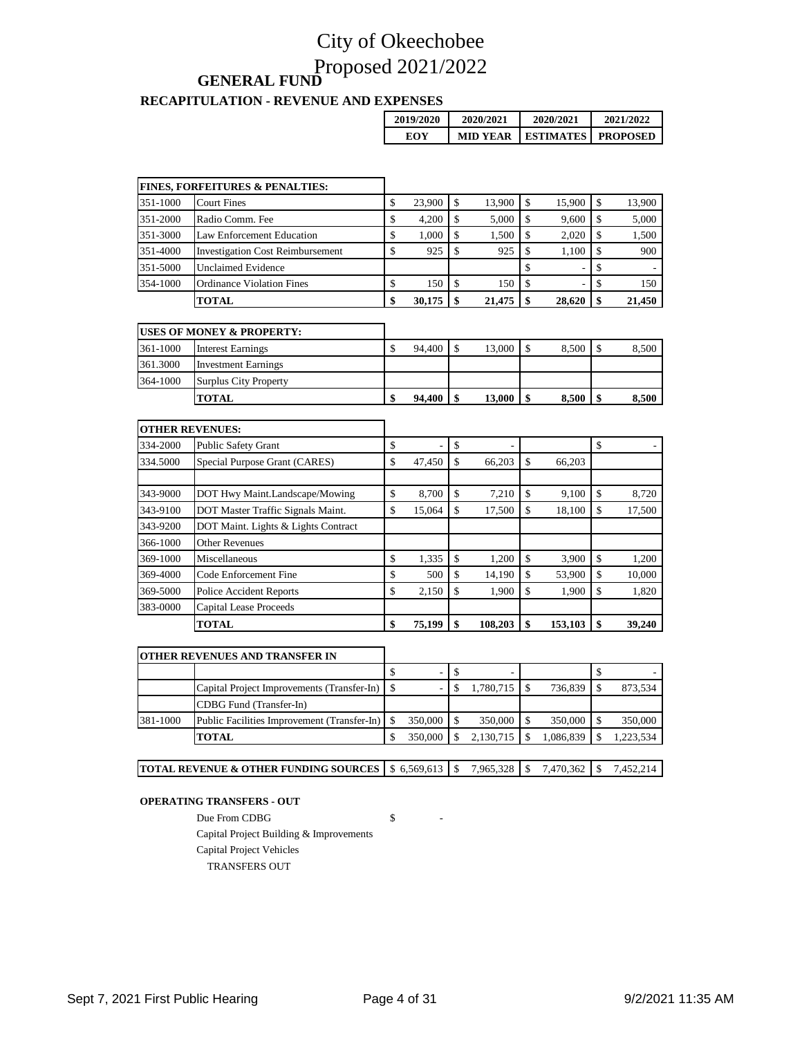### City of Okeechobee Proposed 2021/2022 **GENERAL FUND**

#### **RECAPITULATION - REVENUE AND EXPENSES**

| 2019/2020 | 2020/2021 | 2020/2021        | 2021/2022       |
|-----------|-----------|------------------|-----------------|
| EOY       | MID YEAR  | <b>ESTIMATES</b> | <b>PROPOSED</b> |

|          | <b>FINES, FORFEITURES &amp; PENALTIES:</b>           |              |                    |        |                    |        |                    |                 |
|----------|------------------------------------------------------|--------------|--------------------|--------|--------------------|--------|--------------------|-----------------|
| 351-1000 | <b>Court Fines</b>                                   | \$<br>23,900 | $\mathbf{\hat{S}}$ | 13,900 | \$                 | 15,900 | \$                 | 13,900          |
| 351-2000 | Radio Comm. Fee                                      | \$<br>4,200  | \$                 | 5,000  | $\mathbf{\hat{S}}$ | 9,600  | \$                 | 5,000           |
| 351-3000 | Law Enforcement Education                            | \$<br>1,000  | \$                 | 1,500  | \$                 | 2,020  | \$                 | 1,500           |
| 351-4000 | <b>Investigation Cost Reimbursement</b>              | \$<br>925    | \$                 | 925    | \$                 | 1,100  | \$                 | 900             |
| 351-5000 | <b>Unclaimed Evidence</b>                            |              |                    |        | \$                 |        | \$                 |                 |
| 354-1000 | <b>Ordinance Violation Fines</b>                     | \$<br>150    | \$                 | 150    | \$                 |        | \$                 | 150             |
|          | <b>TOTAL</b>                                         | \$<br>30,175 | \$                 | 21,475 | \$                 | 28,620 | \$                 | 21,450          |
|          | <b>USES OF MONEY &amp; PROPERTY:</b>                 |              |                    |        |                    |        |                    |                 |
| 361-1000 | <b>Interest Earnings</b>                             | \$<br>94.400 | $\mathsf{\$}$      | 13.000 | $\mathcal{S}$      | 8.500  | $\mathbf{\hat{S}}$ | 8,500           |
| 361.3000 | <b>Investment Earnings</b>                           |              |                    |        |                    |        |                    |                 |
| 364-1000 | <b>Surplus City Property</b>                         |              |                    |        |                    |        |                    |                 |
|          | <b>TOTAL</b>                                         | \$<br>94,400 | \$                 | 13,000 | \$                 | 8,500  | \$                 | 8,500           |
|          |                                                      |              |                    |        |                    |        |                    |                 |
|          |                                                      |              |                    |        |                    |        |                    |                 |
| 334-2000 | <b>OTHER REVENUES:</b><br><b>Public Safety Grant</b> | \$           |                    |        |                    |        | \$                 |                 |
| 334.5000 |                                                      | \$<br>47,450 | \$<br>\$           | 66,203 | \$                 | 66,203 |                    |                 |
|          | Special Purpose Grant (CARES)                        |              |                    |        |                    |        |                    |                 |
| 343-9000 | DOT Hwy Maint.Landscape/Mowing                       | \$<br>8,700  | \$                 | 7,210  | $\mathcal{S}$      | 9,100  | \$                 | 8,720           |
| 343-9100 | DOT Master Traffic Signals Maint.                    | \$<br>15,064 | \$                 | 17,500 | \$                 | 18,100 | \$                 | 17,500          |
| 343-9200 | DOT Maint. Lights & Lights Contract                  |              |                    |        |                    |        |                    |                 |
| 366-1000 | <b>Other Revenues</b>                                |              |                    |        |                    |        |                    |                 |
| 369-1000 | Miscellaneous                                        | \$<br>1,335  | \$                 | 1,200  | \$                 | 3,900  | \$                 |                 |
| 369-4000 | Code Enforcement Fine                                | \$<br>500    | \$                 | 14,190 | \$                 | 53,900 | \$                 | 1,200<br>10,000 |
| 369-5000 | Police Accident Reports                              | \$<br>2,150  | \$                 | 1,900  | \$                 | 1,900  | \$                 | 1,820           |
| 383-0000 | <b>Capital Lease Proceeds</b>                        |              |                    |        |                    |        |                    |                 |

|          | <b>IOTHER REVENUES AND TRANSFER IN</b>          |      |         |           |           |           |
|----------|-------------------------------------------------|------|---------|-----------|-----------|-----------|
|          |                                                 |      | ۰.      |           |           |           |
|          | Capital Project Improvements (Transfer-In)   \$ |      | ۰.      | 1,780,715 | 736.839   | 873,534   |
|          | CDBG Fund (Transfer-In)                         |      |         |           |           |           |
| 381-1000 | Public Facilities Improvement (Transfer-In)     | . \$ | 350,000 | 350,000   | 350,000   | 350,000   |
|          | <b>TOTAL</b>                                    |      | 350,000 | 2.130.715 | 1,086,839 | 1,223,534 |

| <b>TOTAL REVENUE &amp; OTHER FUNDING SOURCES</b> $\frac{1}{2}$ \$ 6,569,613 \ \$ 7,965,328 \ \$ 7,470,362 \ \$ 7,452,214 |  |  |  |  |  |  |  |
|--------------------------------------------------------------------------------------------------------------------------|--|--|--|--|--|--|--|
|--------------------------------------------------------------------------------------------------------------------------|--|--|--|--|--|--|--|

#### **OPERATING TRANSFERS - OUT**

Due From CDBG  $\qquad \qquad$  \$

Capital Project Building & Improvements Capital Project Vehicles TRANSFERS OUT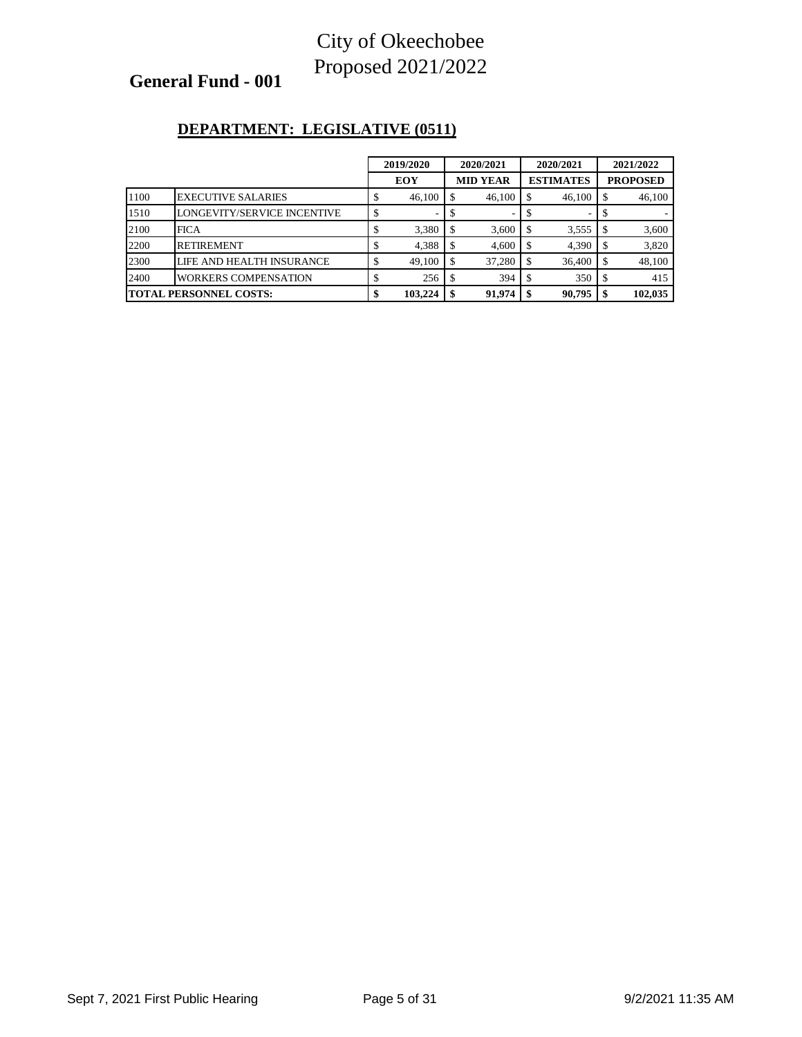#### **DEPARTMENT: LEGISLATIVE (0511)**

|                         |                             |     | 2019/2020  |     | 2020/2021       |    | 2020/2021        |    | 2021/2022       |
|-------------------------|-----------------------------|-----|------------|-----|-----------------|----|------------------|----|-----------------|
|                         |                             |     | <b>EOY</b> |     | <b>MID YEAR</b> |    | <b>ESTIMATES</b> |    | <b>PROPOSED</b> |
| 1100                    | <b>EXECUTIVE SALARIES</b>   | D   | 46,100     | \$. | 46,100          |    | 46,100           | S  | 46,100          |
| 1510                    | LONGEVITY/SERVICE INCENTIVE | D   | ۰          | S   |                 |    |                  |    |                 |
| 2100                    | <b>FICA</b>                 |     | 3,380      | S   | 3,600           | -S | 3,555            | S  | 3,600           |
| 2200                    | <b>RETIREMENT</b>           |     | 4,388      | S   | 4,600           |    | 4,390            | \$ | 3,820           |
| 2300                    | LIFE AND HEALTH INSURANCE   |     | 49.100     | S   | 37.280          |    | 36,400           | \$ | 48,100          |
| 2400                    | <b>WORKERS COMPENSATION</b> | ۰D. | 256        | -S  | 394             | S  | 350              | \$ | 415             |
| ITOTAL PERSONNEL COSTS: |                             |     | 103.224    | \$  | 91.974          |    | 90,795           | \$ | 102,035         |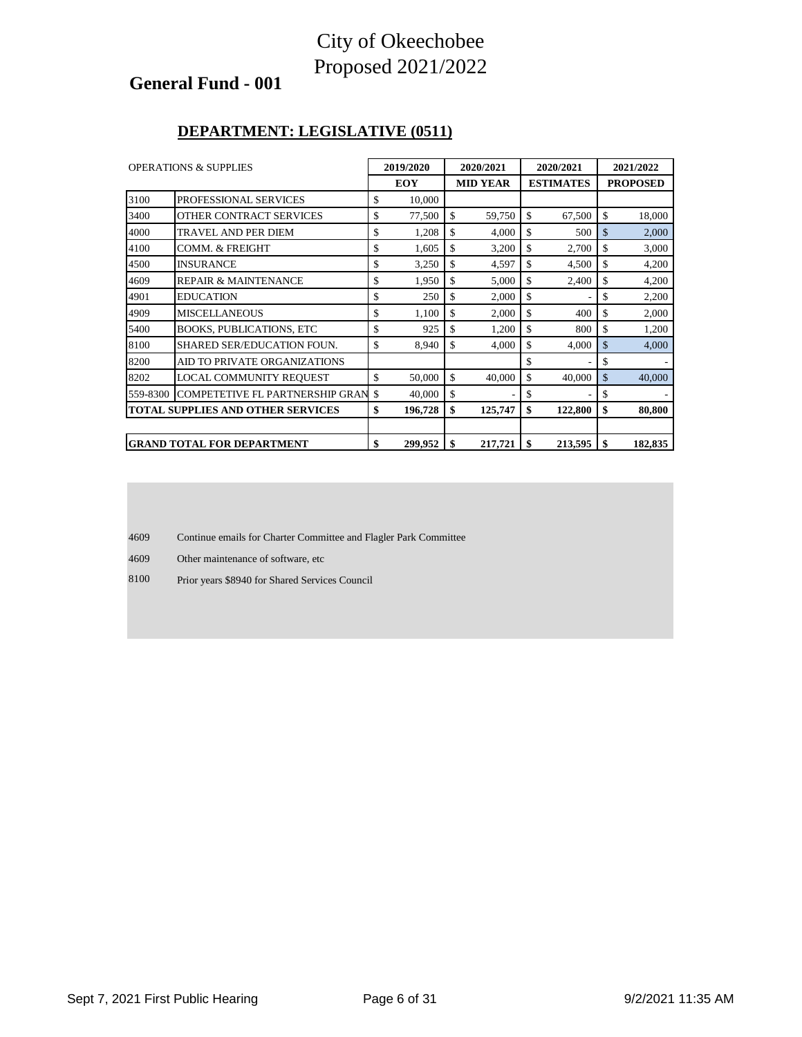#### **DEPARTMENT: LEGISLATIVE (0511)**

|                                   | <b>OPERATIONS &amp; SUPPLIES</b>         | 2019/2020     | 2020/2021       | 2020/2021        |     | 2021/2022       |
|-----------------------------------|------------------------------------------|---------------|-----------------|------------------|-----|-----------------|
|                                   |                                          | <b>EOY</b>    | <b>MID YEAR</b> | <b>ESTIMATES</b> |     | <b>PROPOSED</b> |
| 3100                              | PROFESSIONAL SERVICES                    | \$<br>10.000  |                 |                  |     |                 |
| 3400                              | OTHER CONTRACT SERVICES                  | \$<br>77,500  | \$<br>59,750    | \$<br>67.500     | \$  | 18.000          |
| 4000                              | TRAVEL AND PER DIEM                      | \$<br>1,208   | \$<br>4,000     | \$<br>500        | \$  | 2,000           |
| 4100                              | <b>COMM. &amp; FREIGHT</b>               | \$<br>1,605   | \$<br>3,200     | \$<br>2,700      | \$  | 3,000           |
| 4500                              | <b>INSURANCE</b>                         | \$<br>3,250   | \$<br>4,597     | \$<br>4,500      | \$  | 4,200           |
| 4609                              | <b>REPAIR &amp; MAINTENANCE</b>          | \$<br>1,950   | \$<br>5,000     | \$<br>2,400      | \$. | 4,200           |
| 4901                              | <b>EDUCATION</b>                         | \$<br>250     | \$<br>2,000     | \$               | \$  | 2,200           |
| 4909                              | <b>MISCELLANEOUS</b>                     | \$<br>1,100   | \$<br>2,000     | \$<br>400        | \$  | 2,000           |
| 5400                              | <b>BOOKS, PUBLICATIONS, ETC</b>          | \$<br>925     | \$<br>1,200     | \$<br>800        | \$  | 1,200           |
| 8100                              | SHARED SER/EDUCATION FOUN.               | \$<br>8,940   | \$<br>4,000     | \$<br>4,000      | \$  | 4,000           |
| 8200                              | AID TO PRIVATE ORGANIZATIONS             |               |                 | \$               | \$  |                 |
| 8202                              | LOCAL COMMUNITY REQUEST                  | \$<br>50,000  | \$<br>40,000    | \$<br>40,000     | \$  | 40,000          |
| 559-8300                          | <b>COMPETETIVE FL PARTNERSHIP GRAN</b>   | \$<br>40,000  | \$              | \$               | \$  |                 |
|                                   | <b>TOTAL SUPPLIES AND OTHER SERVICES</b> | \$<br>196,728 | \$<br>125,747   | \$<br>122,800    | \$  | 80,800          |
|                                   |                                          |               |                 |                  |     |                 |
| <b>GRAND TOTAL FOR DEPARTMENT</b> |                                          | \$<br>299,952 | \$<br>217,721   | \$<br>213,595    | \$  | 182,835         |

- 4609 Continue emails for Charter Committee and Flagler Park Committee
- 4609 Other maintenance of software, etc
- 8100 Prior years \$8940 for Shared Services Council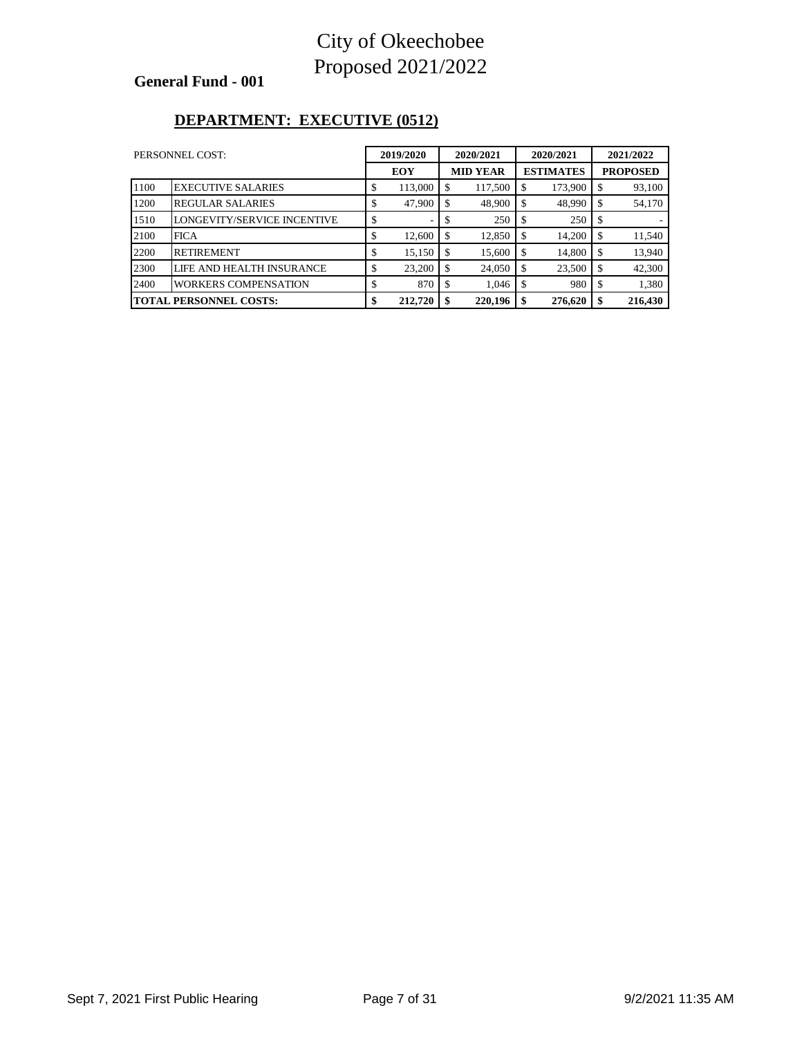### **DEPARTMENT: EXECUTIVE (0512)**

|      | PERSONNEL COST:               | 2019/2020     |    | 2020/2021       |    | 2020/2021        |      | 2021/2022       |
|------|-------------------------------|---------------|----|-----------------|----|------------------|------|-----------------|
|      |                               | EOY           |    | <b>MID YEAR</b> |    | <b>ESTIMATES</b> |      | <b>PROPOSED</b> |
| 1100 | <b>EXECUTIVE SALARIES</b>     | \$<br>113,000 | S  | 117,500         | S  | 173,900          | -S   | 93,100          |
| 1200 | <b>REGULAR SALARIES</b>       | \$<br>47,900  | \$ | 48,900          | \$ | 48,990           | -S   | 54,170          |
| 1510 | LONGEVITY/SERVICE INCENTIVE   | \$            | Φ  | 250             | -S | 250              | -S   |                 |
| 2100 | <b>FICA</b>                   | \$<br>12,600  | \$ | 12,850          | -S | 14,200           | - \$ | 11,540          |
| 2200 | <b>RETIREMENT</b>             | \$<br>15,150  | \$ | 15,600          | S  | 14,800           | -S   | 13,940          |
| 2300 | LIFE AND HEALTH INSURANCE     | \$<br>23,200  | \$ | 24,050          | \$ | 23,500           | -S   | 42,300          |
| 2400 | <b>WORKERS COMPENSATION</b>   | \$<br>870     | \$ | 1,046           | \$ | 980              | S    | 1,380           |
|      | <b>TOTAL PERSONNEL COSTS:</b> | \$<br>212,720 | \$ | 220,196         | \$ | 276,620          | - \$ | 216,430         |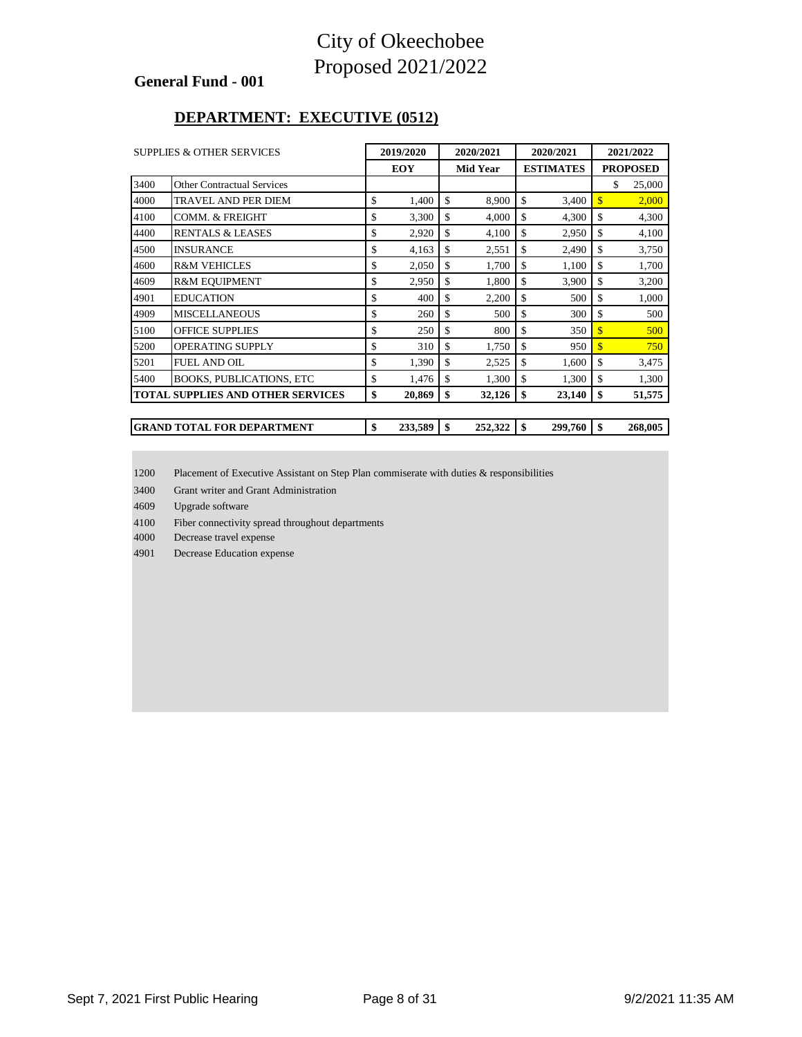#### **DEPARTMENT: EXECUTIVE (0512)**

|      | <b>SUPPLIES &amp; OTHER SERVICES</b>     | 2019/2020     | 2020/2021       |                                 | 2020/2021        |                         | 2021/2022       |
|------|------------------------------------------|---------------|-----------------|---------------------------------|------------------|-------------------------|-----------------|
|      |                                          | <b>EOY</b>    | <b>Mid Year</b> |                                 | <b>ESTIMATES</b> |                         | <b>PROPOSED</b> |
| 3400 | <b>Other Contractual Services</b>        |               |                 |                                 |                  |                         | \$<br>25,000    |
| 4000 | TRAVEL AND PER DIEM                      | \$<br>1,400   | \$<br>8,900     | \$                              | 3,400            | $\mathbf{s}$            | 2,000           |
| 4100 | <b>COMM. &amp; FREIGHT</b>               | \$<br>3,300   | \$<br>4,000     | \$                              | 4,300            | \$                      | 4,300           |
| 4400 | <b>RENTALS &amp; LEASES</b>              | \$<br>2,920   | \$<br>4,100     | \$                              | 2,950            | \$                      | 4,100           |
| 4500 | <b>INSURANCE</b>                         | \$<br>4,163   | \$<br>2,551     | \$                              | 2,490            | \$                      | 3,750           |
| 4600 | <b>R&amp;M VEHICLES</b>                  | \$<br>2,050   | \$<br>1,700     | \$                              | 1,100            | \$                      | 1,700           |
| 4609 | <b>R&amp;M EQUIPMENT</b>                 | \$<br>2,950   | \$<br>1,800     | \$                              | 3,900            | \$                      | 3,200           |
| 4901 | <b>EDUCATION</b>                         | \$<br>400     | \$<br>2,200     | \$                              | 500              | \$                      | 1,000           |
| 4909 | <b>MISCELLANEOUS</b>                     | \$<br>260     | \$<br>500       | \$                              | 300              | \$                      | 500             |
| 5100 | <b>OFFICE SUPPLIES</b>                   | \$<br>250     | \$<br>800       | \$                              | 350              | $\overline{\mathbf{s}}$ | 500             |
| 5200 | <b>OPERATING SUPPLY</b>                  | \$<br>310     | \$<br>1,750     | \$                              | 950              | \$                      | 750             |
| 5201 | <b>FUEL AND OIL</b>                      | \$<br>1,390   | \$<br>2,525     | \$                              | 1,600            | \$                      | 3,475           |
| 5400 | <b>BOOKS, PUBLICATIONS, ETC</b>          | \$<br>1,476   | \$<br>1,300     | \$                              | 1,300            | \$                      | 1,300           |
|      | <b>TOTAL SUPPLIES AND OTHER SERVICES</b> | \$<br>20,869  | \$<br>32,126    | \$                              | 23,140           | \$                      | 51,575          |
|      | <b>GRAND TOTAL FOR DEPARTMENT</b>        | \$<br>233,589 | \$<br>252,322   | $\boldsymbol{\hat{\mathbf{s}}}$ | 299,760          | \$                      | 268,005         |

1200 Placement of Executive Assistant on Step Plan commiserate with duties & responsibilities

3400 Grant writer and Grant Administration

4609 Upgrade software

4100<br>4000 Fiber connectivity spread throughout departments

Decrease travel expense

4901 Decrease Education expense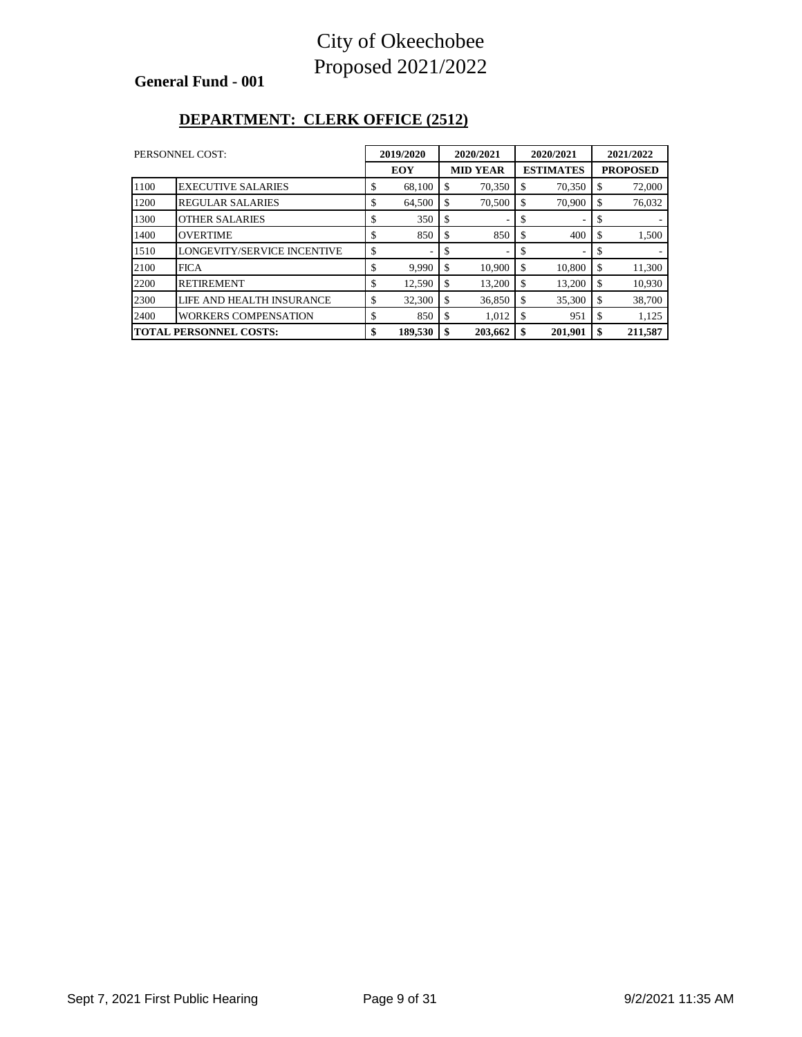### **DEPARTMENT: CLERK OFFICE (2512)**

|      | PERSONNEL COST:               |    | 2019/2020  |     | 2020/2021       | 2020/2021        |    | 2021/2022       |
|------|-------------------------------|----|------------|-----|-----------------|------------------|----|-----------------|
|      |                               |    | <b>EOY</b> |     | <b>MID YEAR</b> | <b>ESTIMATES</b> |    | <b>PROPOSED</b> |
| 1100 | <b>EXECUTIVE SALARIES</b>     | S  | 68,100     | \$. | 70,350          | \$<br>70,350     | S  | 72,000          |
| 1200 | <b>REGULAR SALARIES</b>       | S  | 64,500     | S   | 70,500          | \$<br>70,900     | \$ | 76,032          |
| 1300 | <b>OTHER SALARIES</b>         | S  | 350        | \$  |                 | \$               | S  |                 |
| 1400 | <b>OVERTIME</b>               | \$ | 850        | \$  | 850             | \$<br>400        | \$ | 1,500           |
| 1510 | LONGEVITY/SERVICE INCENTIVE   | \$ |            | S   |                 | \$               | S  |                 |
| 2100 | <b>FICA</b>                   | \$ | 9.990      | \$  | 10.900          | \$<br>10.800     | \$ | 11,300          |
| 2200 | <b>RETIREMENT</b>             | \$ | 12.590     | \$  | 13.200          | \$<br>13.200     | \$ | 10,930          |
| 2300 | LIFE AND HEALTH INSURANCE     | \$ | 32.300     | \$  | 36.850          | \$<br>35,300     | \$ | 38,700          |
| 2400 | <b>WORKERS COMPENSATION</b>   | \$ | 850        | \$  | 1.012           | \$<br>951        | \$ | 1,125           |
|      | <b>TOTAL PERSONNEL COSTS:</b> |    | 189.530    | \$  | 203,662         | \$<br>201.901    | \$ | 211.587         |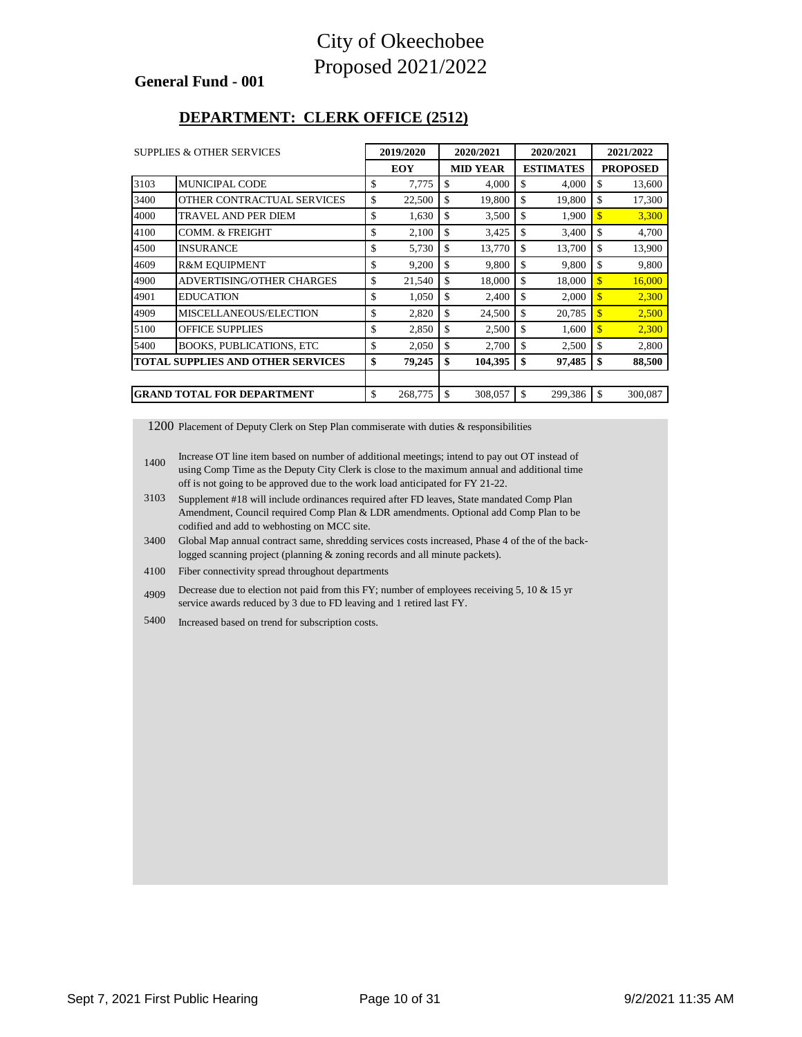#### **DEPARTMENT: CLERK OFFICE (2512)**

|      | <b>SUPPLIES &amp; OTHER SERVICES</b>     | 2019/2020     | 2020/2021       | 2020/2021        |                         | 2021/2022       |
|------|------------------------------------------|---------------|-----------------|------------------|-------------------------|-----------------|
|      |                                          | <b>EOY</b>    | <b>MID YEAR</b> | <b>ESTIMATES</b> |                         | <b>PROPOSED</b> |
| 3103 | <b>MUNICIPAL CODE</b>                    | \$<br>7,775   | \$<br>4,000     | \$<br>4,000      | \$                      | 13,600          |
| 3400 | OTHER CONTRACTUAL SERVICES               | \$<br>22,500  | \$<br>19,800    | \$<br>19,800     | \$                      | 17,300          |
| 4000 | TRAVEL AND PER DIEM                      | \$<br>1,630   | \$<br>3,500     | \$<br>1,900      | \$                      | 3,300           |
| 4100 | <b>COMM. &amp; FREIGHT</b>               | \$<br>2,100   | \$<br>3,425     | \$<br>3,400      | \$                      | 4,700           |
| 4500 | <b>INSURANCE</b>                         | \$<br>5,730   | \$<br>13,770    | \$<br>13,700     | \$                      | 13,900          |
| 4609 | <b>R&amp;M EQUIPMENT</b>                 | \$<br>9,200   | \$<br>9,800     | \$<br>9,800      | \$                      | 9,800           |
| 4900 | ADVERTISING/OTHER CHARGES                | \$<br>21,540  | \$<br>18,000    | \$<br>18,000     | $\overline{\mathbf{S}}$ | 16,000          |
| 4901 | <b>EDUCATION</b>                         | \$<br>1,050   | \$<br>2,400     | \$<br>2,000      | $\overline{\mathbf{S}}$ | 2,300           |
| 4909 | MISCELLANEOUS/ELECTION                   | \$<br>2,820   | \$<br>24,500    | \$<br>20.785     | $\mathbf{\$}$           | 2,500           |
| 5100 | <b>OFFICE SUPPLIES</b>                   | \$<br>2,850   | \$<br>2,500     | \$<br>1,600      | $\overline{\mathbf{S}}$ | 2,300           |
| 5400 | <b>BOOKS, PUBLICATIONS, ETC</b>          | \$<br>2,050   | \$<br>2,700     | \$<br>2,500      | \$                      | 2,800           |
|      | <b>TOTAL SUPPLIES AND OTHER SERVICES</b> | \$<br>79,245  | \$<br>104,395   | \$<br>97,485     | \$                      | 88,500          |
|      |                                          |               |                 |                  |                         |                 |
|      | <b>GRAND TOTAL FOR DEPARTMENT</b>        | \$<br>268,775 | \$<br>308,057   | \$<br>299,386    | \$                      | 300,087         |

1200 Placement of Deputy Clerk on Step Plan commiserate with duties & responsibilities

- 1400 Increase OT line item based on number of additional meetings; intend to pay out OT instead of using Comp Time as the Deputy City Clerk is close to the maximum annual and additional time off is not going to be approved due to the work load anticipated for FY 21-22.
- 3103 Supplement #18 will include ordinances required after FD leaves, State mandated Comp Plan Amendment, Council required Comp Plan & LDR amendments. Optional add Comp Plan to be codified and add to webhosting on MCC site.
- 3400 Global Map annual contract same, shredding services costs increased, Phase 4 of the of the backlogged scanning project (planning & zoning records and all minute packets).
- 4100 Fiber connectivity spread throughout departments
- 4909 Decrease due to election not paid from this FY; number of employees receiving 5, 10 & 15 yr service awards reduced by 3 due to FD leaving and 1 retired last FY.
- 5400 Increased based on trend for subscription costs.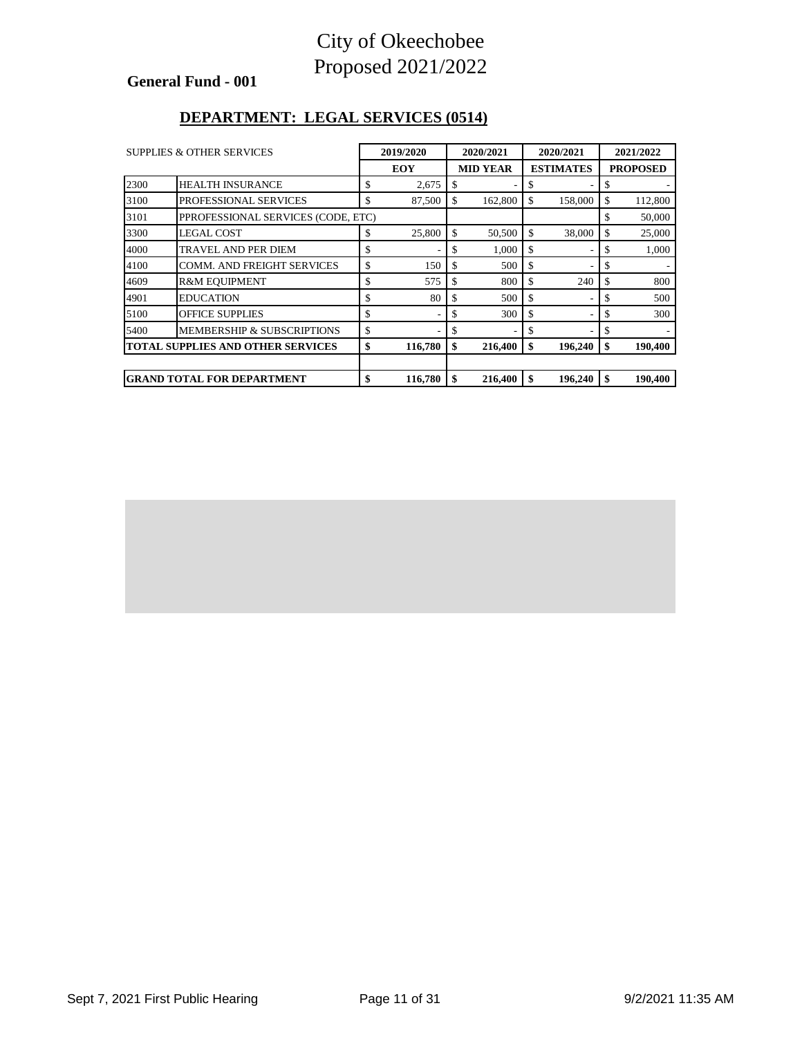### **DEPARTMENT: LEGAL SERVICES (0514)**

|      | SUPPLIES & OTHER SERVICES                | 2019/2020     |    | 2020/2021       | 2020/2021 |                  | 2021/2022 |                 |
|------|------------------------------------------|---------------|----|-----------------|-----------|------------------|-----------|-----------------|
|      |                                          | <b>EOY</b>    |    | <b>MID YEAR</b> |           | <b>ESTIMATES</b> |           | <b>PROPOSED</b> |
| 2300 | <b>HEALTH INSURANCE</b>                  | \$<br>2,675   | S  |                 | S         |                  | \$        |                 |
| 3100 | PROFESSIONAL SERVICES                    | \$<br>87,500  | \$ | 162,800         | \$        | 158,000          | \$        | 112,800         |
| 3101 | PPROFESSIONAL SERVICES (CODE, ETC)       |               |    |                 |           |                  | \$        | 50,000          |
| 3300 | <b>LEGAL COST</b>                        | \$<br>25,800  | \$ | 50,500          | \$        | 38,000           | \$        | 25,000          |
| 4000 | TRAVEL AND PER DIEM                      | \$            | S  | 1,000           | \$        |                  | \$        | 1,000           |
| 4100 | COMM. AND FREIGHT SERVICES               | \$<br>150     | \$ | 500             | \$        |                  | \$        |                 |
| 4609 | <b>R&amp;M EOUIPMENT</b>                 | \$<br>575     | \$ | 800             | \$        | 240              | \$        | 800             |
| 4901 | <b>EDUCATION</b>                         | \$<br>80      | \$ | 500             | \$        |                  | \$        | 500             |
| 5100 | <b>OFFICE SUPPLIES</b>                   | \$<br>٠       | \$ | 300             | \$        |                  | \$        | 300             |
| 5400 | <b>MEMBERSHIP &amp; SUBSCRIPTIONS</b>    | \$            | S  |                 | \$        |                  | \$        |                 |
|      | <b>TOTAL SUPPLIES AND OTHER SERVICES</b> | \$<br>116.780 | \$ | 216,400         | \$        | 196.240          | \$        | 190,400         |
|      |                                          |               |    |                 |           |                  |           |                 |
|      | <b>GRAND TOTAL FOR DEPARTMENT</b>        | \$<br>116,780 | \$ | 216,400         | \$        | 196,240          | \$        | 190,400         |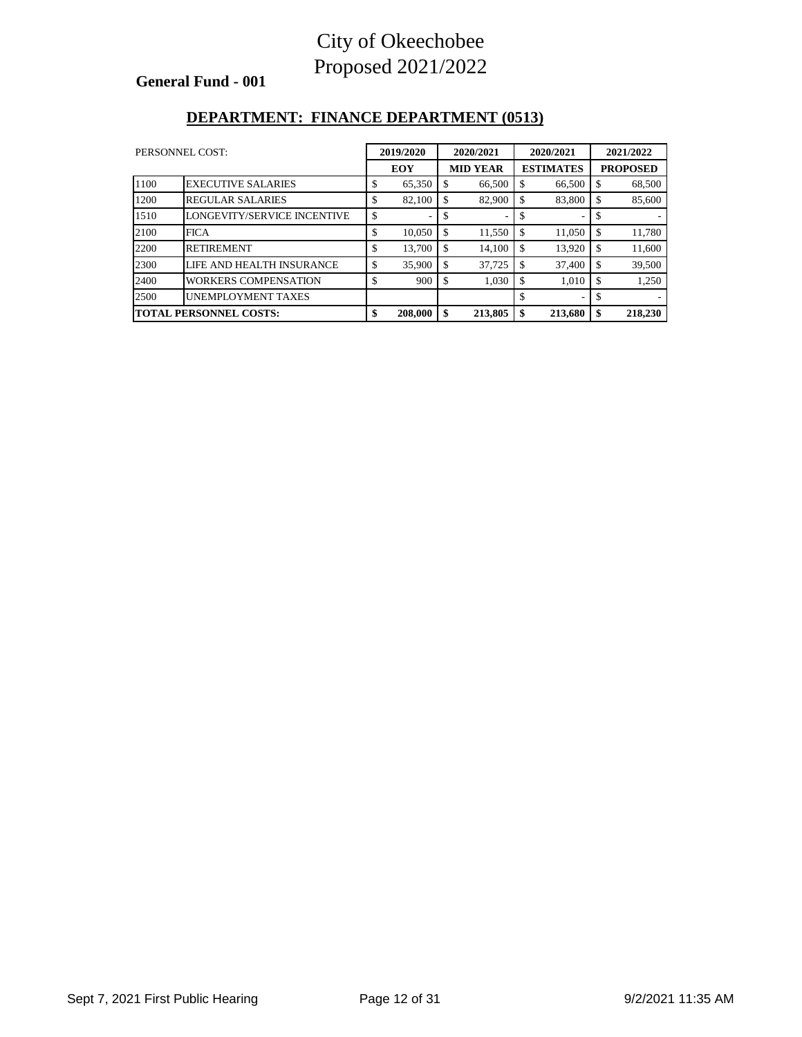### **DEPARTMENT: FINANCE DEPARTMENT (0513)**

|      | PERSONNEL COST:               |    | 2019/2020  | 2020/2021       |    | 2020/2021        |    | 2021/2022       |
|------|-------------------------------|----|------------|-----------------|----|------------------|----|-----------------|
|      |                               |    | <b>EOY</b> | <b>MID YEAR</b> |    | <b>ESTIMATES</b> |    | <b>PROPOSED</b> |
| 1100 | <b>EXECUTIVE SALARIES</b>     | S  | 65,350     | \$<br>66,500    | \$ | 66,500           | S  | 68,500          |
| 1200 | <b>REGULAR SALARIES</b>       | \$ | 82,100     | \$<br>82,900    | \$ | 83,800           | \$ | 85,600          |
| 1510 | LONGEVITY/SERVICE INCENTIVE   | \$ |            | \$              | \$ |                  | \$ |                 |
| 2100 | <b>FICA</b>                   | \$ | 10.050     | \$<br>11,550    | \$ | 11,050           | \$ | 11,780          |
| 2200 | <b>RETIREMENT</b>             | S  | 13.700     | \$<br>14.100    | \$ | 13,920           | \$ | 11,600          |
| 2300 | LIFE AND HEALTH INSURANCE     | \$ | 35,900     | \$<br>37.725    | \$ | 37.400           | \$ | 39,500          |
| 2400 | WORKERS COMPENSATION          | \$ | 900        | \$<br>1.030     | \$ | 1.010            | \$ | 1,250           |
| 2500 | <b>UNEMPLOYMENT TAXES</b>     |    |            |                 | \$ |                  | \$ |                 |
|      | <b>TOTAL PERSONNEL COSTS:</b> |    | 208,000    | \$<br>213,805   | S  | 213,680          | \$ | 218,230         |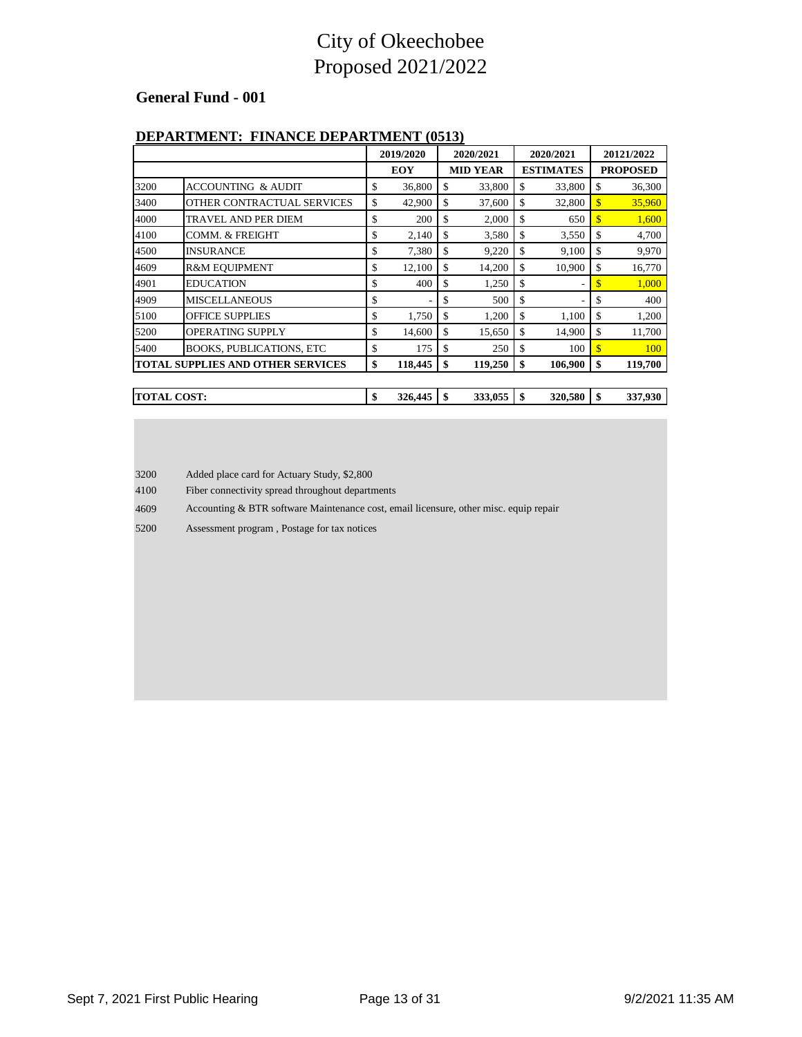#### **General Fund - 001**

#### **DEPARTMENT: FINANCE DEPARTMENT (0513)**

|      |                                          | 2019/2020     |                    | 2020/2021       | 2020/2021        |              | 20121/2022      |
|------|------------------------------------------|---------------|--------------------|-----------------|------------------|--------------|-----------------|
|      |                                          | <b>EOY</b>    |                    | <b>MID YEAR</b> | <b>ESTIMATES</b> |              | <b>PROPOSED</b> |
| 3200 | <b>ACCOUNTING &amp; AUDIT</b>            | \$<br>36,800  | \$.                | 33,800          | \$<br>33,800     | \$           | 36,300          |
| 3400 | OTHER CONTRACTUAL SERVICES               | \$<br>42,900  | \$.                | 37,600          | \$<br>32,800     | \$           | 35,960          |
| 4000 | TRAVEL AND PER DIEM                      | \$<br>200     | \$                 | 2,000           | \$<br>650        | \$           | 1,600           |
| 4100 | COMM. & FREIGHT                          | \$<br>2,140   | \$                 | 3,580           | \$<br>3,550      | \$           | 4,700           |
| 4500 | <b>INSURANCE</b>                         | \$<br>7,380   | \$                 | 9,220           | \$<br>9,100      | \$           | 9,970           |
| 4609 | R&M EQUIPMENT                            | \$<br>12,100  | $\mathcal{S}$      | 14,200          | \$<br>10,900     | \$           | 16,770          |
| 4901 | <b>EDUCATION</b>                         | \$<br>400     | $\mathbf{\hat{S}}$ | 1,250           | \$<br>٠          | \$           | 1,000           |
| 4909 | <b>MISCELLANEOUS</b>                     | \$            | \$                 | 500             | \$               | \$           | 400             |
| 5100 | <b>OFFICE SUPPLIES</b>                   | \$<br>1,750   | $\mathbf{\$}$      | 1,200           | \$<br>1,100      | \$           | 1,200           |
| 5200 | <b>OPERATING SUPPLY</b>                  | \$<br>14,600  | \$.                | 15,650          | \$<br>14,900     | \$           | 11,700          |
| 5400 | <b>BOOKS, PUBLICATIONS, ETC</b>          | \$<br>175     | \$                 | 250             | \$<br>100        | $\mathbf{S}$ | 100             |
|      | <b>TOTAL SUPPLIES AND OTHER SERVICES</b> | \$<br>118,445 | \$                 | 119,250         | \$<br>106,900    | \$           | 119,700         |
|      |                                          |               |                    |                 |                  |              |                 |
|      | <b>TOTAL COST:</b>                       | \$<br>326.445 | \$                 | 333,055         | \$<br>320,580    | \$           | 337,930         |

3200 Added place card for Actuary Study, \$2,800

4100 Fiber connectivity spread throughout departments

4609 Accounting & BTR software Maintenance cost, email licensure, other misc. equip repair

5200 Assessment program , Postage for tax notices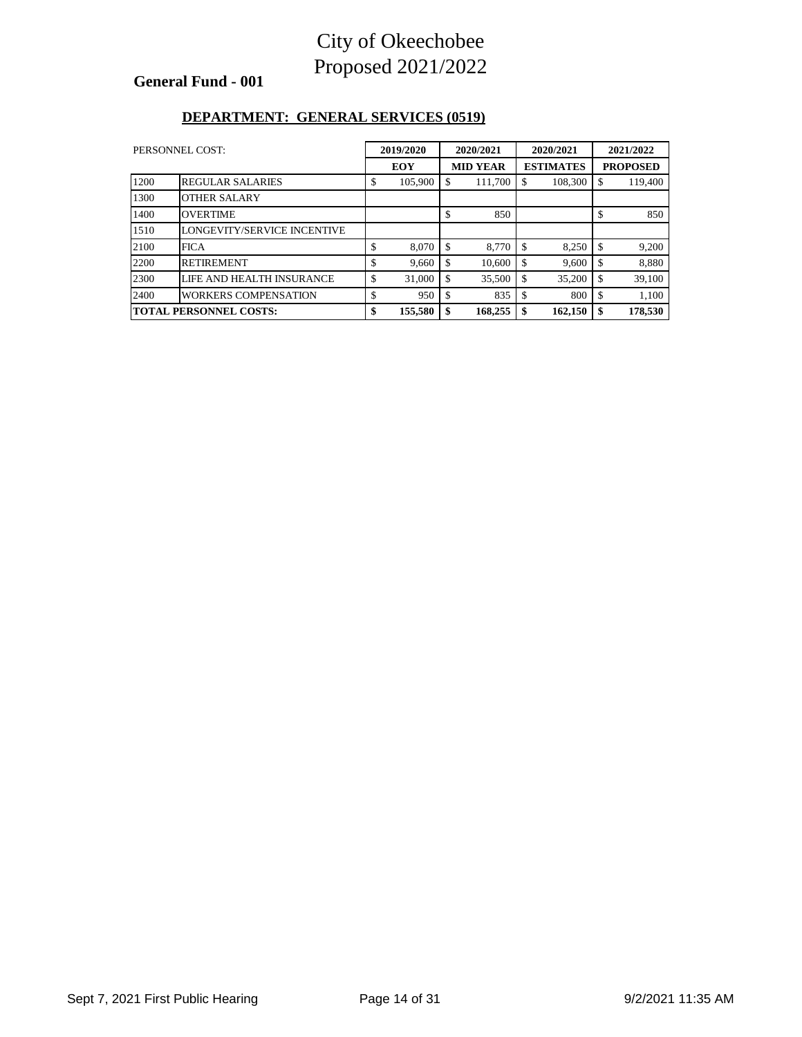### **DEPARTMENT: GENERAL SERVICES (0519)**

|      | PERSONNEL COST:               |    | 2019/2020  |    | 2020/2021       |      | 2020/2021        |     | 2021/2022       |
|------|-------------------------------|----|------------|----|-----------------|------|------------------|-----|-----------------|
|      |                               |    | <b>EOY</b> |    | <b>MID YEAR</b> |      | <b>ESTIMATES</b> |     | <b>PROPOSED</b> |
| 1200 | <b>REGULAR SALARIES</b>       | \$ | 105,900    | S  | 111,700         | -S   | 108,300          | S   | 119,400         |
| 1300 | <b>OTHER SALARY</b>           |    |            |    |                 |      |                  |     |                 |
| 1400 | <b>OVERTIME</b>               |    |            | \$ | 850             |      |                  | ъ   | 850             |
| 1510 | LONGEVITY/SERVICE INCENTIVE   |    |            |    |                 |      |                  |     |                 |
| 2100 | <b>FICA</b>                   | \$ | 8.070      | \$ | 8.770           | -\$  | 8.250            | \$. | 9,200           |
| 2200 | <b>RETIREMENT</b>             | S  | 9.660      | \$ | 10.600          | - \$ | 9,600            | £.  | 8,880           |
| 2300 | LIFE AND HEALTH INSURANCE     | \$ | 31,000     | \$ | 35,500          | - \$ | 35,200           | £.  | 39,100          |
| 2400 | <b>WORKERS COMPENSATION</b>   | \$ | 950        | \$ | 835             | -\$  | 800              | £.  | 1,100           |
|      | <b>TOTAL PERSONNEL COSTS:</b> |    | 155,580    | \$ | 168,255         | - \$ | 162,150          |     | 178,530         |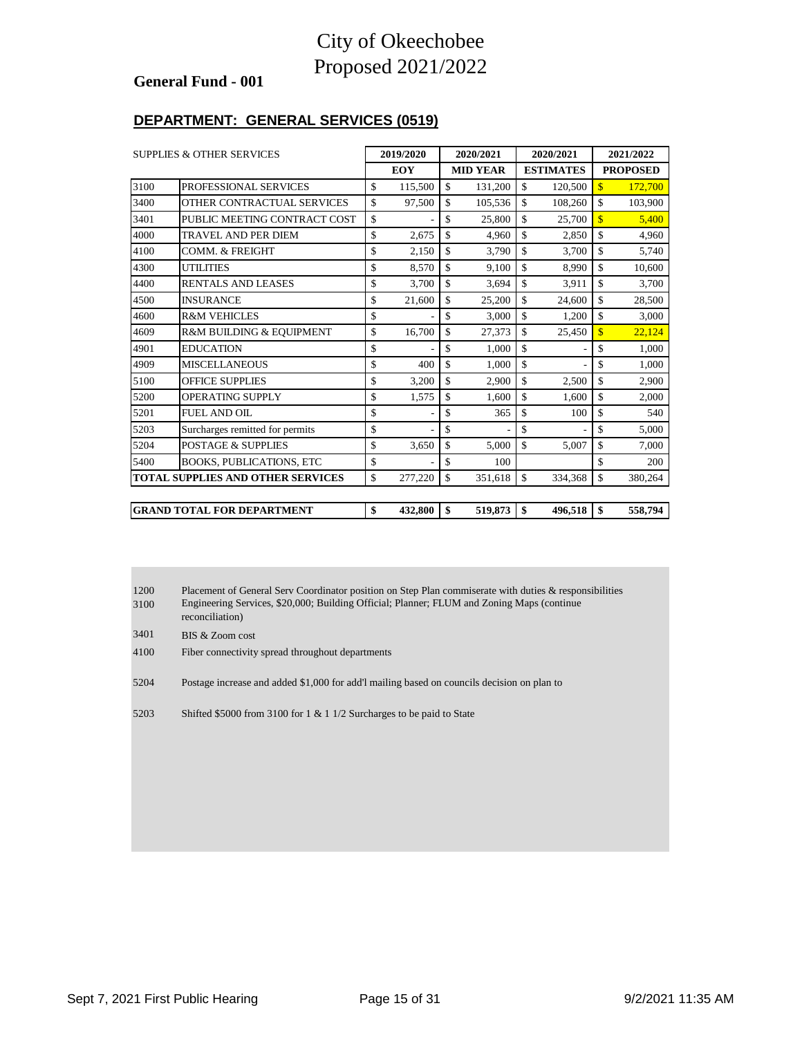#### **DEPARTMENT: GENERAL SERVICES (0519)**

|                                   | <b>SUPPLIES &amp; OTHER SERVICES</b>     |    | 2019/2020  | 2020/2021       | 2020/2021        | 2021/2022       |
|-----------------------------------|------------------------------------------|----|------------|-----------------|------------------|-----------------|
|                                   |                                          |    | <b>EOY</b> | <b>MID YEAR</b> | <b>ESTIMATES</b> | <b>PROPOSED</b> |
| 3100                              | PROFESSIONAL SERVICES                    | \$ | 115,500    | \$<br>131,200   | \$<br>120,500    | \$<br>172,700   |
| 3400                              | OTHER CONTRACTUAL SERVICES               | \$ | 97.500     | \$<br>105,536   | \$<br>108,260    | \$<br>103,900   |
| 3401                              | PUBLIC MEETING CONTRACT COST             | \$ |            | \$<br>25.800    | \$<br>25,700     | \$<br>5,400     |
| 4000                              | TRAVEL AND PER DIEM                      | \$ | 2,675      | \$<br>4,960     | \$<br>2,850      | \$<br>4,960     |
| 4100                              | COMM. & FREIGHT                          | \$ | 2.150      | \$<br>3,790     | \$<br>3,700      | \$<br>5,740     |
| 4300                              | <b>UTILITIES</b>                         | \$ | 8,570      | \$<br>9,100     | \$<br>8.990      | \$<br>10,600    |
| 4400                              | <b>RENTALS AND LEASES</b>                | \$ | 3,700      | \$<br>3,694     | \$<br>3,911      | \$<br>3,700     |
| 4500                              | <b>INSURANCE</b>                         | \$ | 21.600     | \$<br>25,200    | \$<br>24,600     | \$<br>28,500    |
| 4600                              | <b>R&amp;M VEHICLES</b>                  | \$ |            | \$<br>3,000     | \$<br>1,200      | \$<br>3,000     |
| 4609                              | R&M BUILDING & EQUIPMENT                 | \$ | 16,700     | \$<br>27,373    | \$<br>25,450     | \$<br>22.124    |
| 4901                              | <b>EDUCATION</b>                         | \$ |            | \$<br>1,000     | \$               | \$<br>1,000     |
| 4909                              | <b>MISCELLANEOUS</b>                     | \$ | 400        | \$<br>1.000     | \$               | \$<br>1.000     |
| 5100                              | <b>OFFICE SUPPLIES</b>                   | \$ | 3,200      | \$<br>2,900     | \$<br>2,500      | \$<br>2,900     |
| 5200                              | <b>OPERATING SUPPLY</b>                  | \$ | 1,575      | \$<br>1,600     | \$<br>1,600      | \$<br>2.000     |
| 5201                              | <b>FUEL AND OIL</b>                      | \$ |            | \$<br>365       | \$<br>100        | \$<br>540       |
| 5203                              | Surcharges remitted for permits          | \$ |            | \$              | \$               | \$<br>5,000     |
| 5204                              | <b>POSTAGE &amp; SUPPLIES</b>            | \$ | 3,650      | \$<br>5,000     | \$<br>5,007      | \$<br>7,000     |
| 5400                              | <b>BOOKS, PUBLICATIONS, ETC</b>          | \$ |            | \$<br>100       |                  | \$<br>200       |
|                                   | <b>TOTAL SUPPLIES AND OTHER SERVICES</b> | \$ | 277,220    | \$<br>351,618   | \$<br>334,368    | \$<br>380,264   |
|                                   |                                          |    |            |                 |                  |                 |
| <b>GRAND TOTAL FOR DEPARTMENT</b> |                                          |    | 432,800    | \$<br>519,873   | \$<br>496,518    | \$<br>558,794   |

1200 Placement of General Serv Coordinator position on Step Plan commiserate with duties & responsibilities 3100 Engineering Services, \$20,000; Building Official; Planner; FLUM and Zoning Maps (continue reconciliation)

3401 BIS & Zoom cost

4100 Fiber connectivity spread throughout departments

5204 Postage increase and added \$1,000 for add'l mailing based on councils decision on plan to

5203 Shifted \$5000 from 3100 for 1 & 1 1/2 Surcharges to be paid to State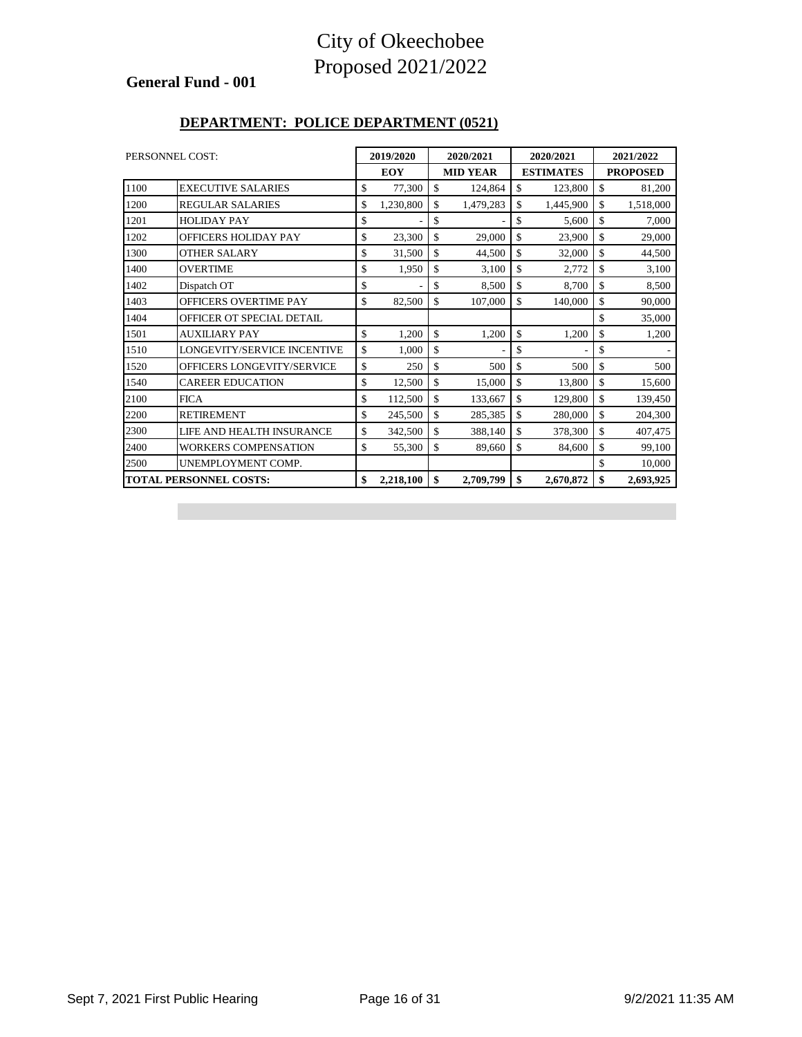#### **DEPARTMENT: POLICE DEPARTMENT (0521)**

| PERSONNEL COST: |                               |    | 2019/2020  | 2020/2021       | 2020/2021        | 2021/2022       |
|-----------------|-------------------------------|----|------------|-----------------|------------------|-----------------|
|                 |                               |    | <b>EOY</b> | <b>MID YEAR</b> | <b>ESTIMATES</b> | <b>PROPOSED</b> |
| 1100            | <b>EXECUTIVE SALARIES</b>     | \$ | 77,300     | \$<br>124.864   | \$<br>123,800    | \$<br>81,200    |
| 1200            | <b>REGULAR SALARIES</b>       | \$ | 1.230.800  | \$<br>1,479,283 | \$<br>1,445,900  | \$<br>1,518,000 |
| 1201            | <b>HOLIDAY PAY</b>            | \$ |            | \$              | \$<br>5.600      | \$<br>7.000     |
| 1202            | OFFICERS HOLIDAY PAY          | \$ | 23.300     | \$<br>29,000    | \$<br>23,900     | \$<br>29,000    |
| 1300            | <b>OTHER SALARY</b>           | \$ | 31,500     | \$<br>44,500    | \$<br>32,000     | \$<br>44,500    |
| 1400            | <b>OVERTIME</b>               | \$ | 1.950      | \$<br>3,100     | \$<br>2.772      | \$<br>3,100     |
| 1402            | Dispatch OT                   | \$ |            | \$<br>8,500     | \$<br>8,700      | \$<br>8,500     |
| 1403            | OFFICERS OVERTIME PAY         | \$ | 82.500     | \$<br>107,000   | \$<br>140,000    | \$<br>90.000    |
| 1404            | OFFICER OT SPECIAL DETAIL     |    |            |                 |                  | \$<br>35,000    |
| 1501            | <b>AUXILIARY PAY</b>          | \$ | 1,200      | \$<br>1.200     | \$<br>1.200      | \$<br>1.200     |
| 1510            | LONGEVITY/SERVICE INCENTIVE   | \$ | 1.000      | \$              | \$               | \$              |
| 1520            | OFFICERS LONGEVITY/SERVICE    | \$ | 250        | \$<br>500       | \$<br>500        | \$<br>500       |
| 1540            | <b>CAREER EDUCATION</b>       | \$ | 12,500     | \$<br>15,000    | \$<br>13,800     | \$<br>15.600    |
| 2100            | <b>FICA</b>                   | \$ | 112,500    | \$<br>133,667   | \$<br>129,800    | \$<br>139,450   |
| 2200            | <b>RETIREMENT</b>             | \$ | 245,500    | \$<br>285,385   | \$<br>280,000    | \$<br>204,300   |
| 2300            | LIFE AND HEALTH INSURANCE     | \$ | 342,500    | \$<br>388,140   | \$<br>378,300    | \$<br>407,475   |
| 2400            | <b>WORKERS COMPENSATION</b>   | \$ | 55,300     | \$<br>89,660    | \$<br>84,600     | \$<br>99,100    |
| 2500            | UNEMPLOYMENT COMP.            |    |            |                 |                  | \$<br>10,000    |
|                 | <b>TOTAL PERSONNEL COSTS:</b> |    | 2,218,100  | \$<br>2,709,799 | \$<br>2,670,872  | \$<br>2,693,925 |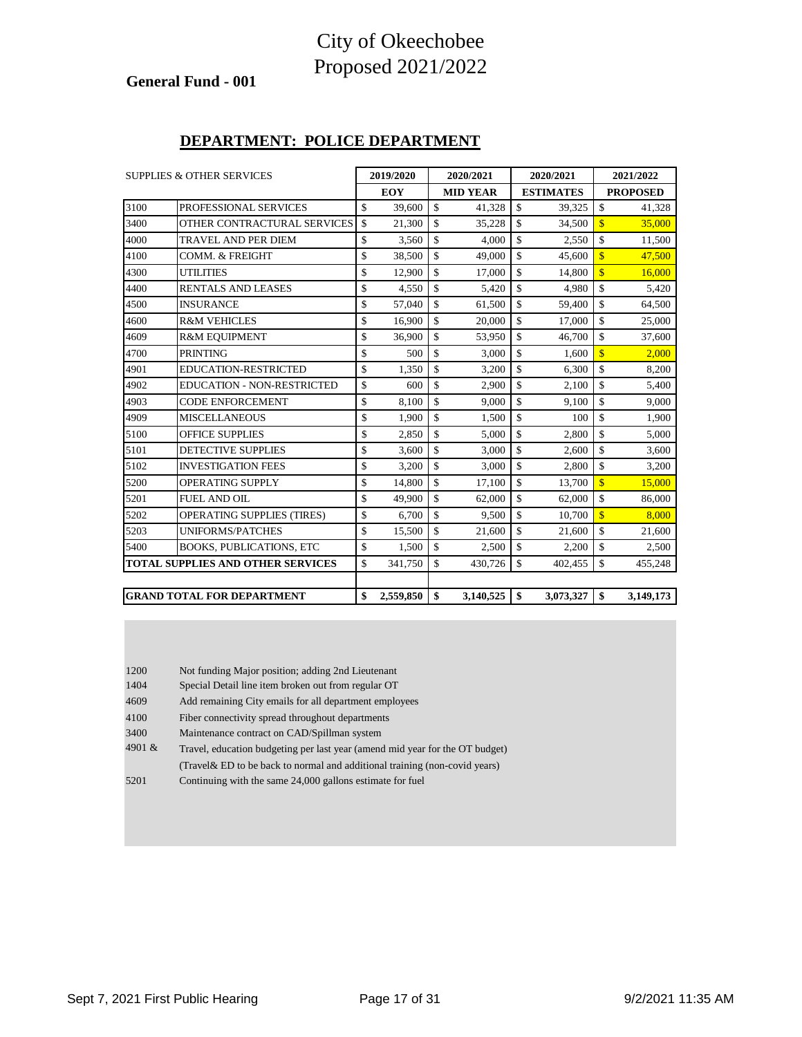#### **DEPARTMENT: POLICE DEPARTMENT**

|      | <b>SUPPLIES &amp; OTHER SERVICES</b>     | 2019/2020       | 2020/2021       |                    | 2020/2021        |                         | 2021/2022       |
|------|------------------------------------------|-----------------|-----------------|--------------------|------------------|-------------------------|-----------------|
|      |                                          | <b>EOY</b>      | <b>MID YEAR</b> |                    | <b>ESTIMATES</b> |                         | <b>PROPOSED</b> |
| 3100 | PROFESSIONAL SERVICES                    | \$<br>39,600    | \$<br>41,328    | \$                 | 39,325           | \$                      | 41,328          |
| 3400 | OTHER CONTRACTURAL SERVICES              | \$<br>21,300    | \$<br>35,228    | $\mathbf{\hat{S}}$ | 34,500           | $\overline{\mathbf{s}}$ | 35,000          |
| 4000 | <b>TRAVEL AND PER DIEM</b>               | \$<br>3,560     | \$<br>4,000     | \$                 | 2,550            | \$                      | 11,500          |
| 4100 | <b>COMM. &amp; FREIGHT</b>               | \$<br>38,500    | \$<br>49,000    | \$                 | 45,600           | $\overline{\mathbf{s}}$ | 47,500          |
| 4300 | <b>UTILITIES</b>                         | \$<br>12,900    | \$<br>17,000    | $\mathbf{\hat{S}}$ | 14,800           | $\overline{\mathbf{s}}$ | 16,000          |
| 4400 | RENTALS AND LEASES                       | \$<br>4,550     | \$<br>5,420     | \$                 | 4,980            | \$                      | 5,420           |
| 4500 | <b>INSURANCE</b>                         | \$<br>57,040    | \$<br>61,500    | $\mathbf{\hat{S}}$ | 59,400           | \$                      | 64,500          |
| 4600 | <b>R&amp;M VEHICLES</b>                  | \$<br>16,900    | \$<br>20,000    | \$                 | 17,000           | \$                      | 25,000          |
| 4609 | <b>R&amp;M EQUIPMENT</b>                 | \$<br>36.900    | \$<br>53.950    | $\mathbf{\hat{S}}$ | 46.700           | \$                      | 37.600          |
| 4700 | <b>PRINTING</b>                          | \$<br>500       | \$<br>3,000     | \$                 | 1,600            | $\overline{\mathbf{s}}$ | 2.000           |
| 4901 | <b>EDUCATION-RESTRICTED</b>              | \$<br>1,350     | \$<br>3,200     | $\mathbf{\hat{S}}$ | 6,300            | \$                      | 8,200           |
| 4902 | <b>EDUCATION - NON-RESTRICTED</b>        | \$<br>600       | \$<br>2,900     | \$                 | 2,100            | \$                      | 5,400           |
| 4903 | <b>CODE ENFORCEMENT</b>                  | \$<br>8,100     | \$<br>9,000     | $\mathbf{\hat{S}}$ | 9,100            | \$                      | 9,000           |
| 4909 | <b>MISCELLANEOUS</b>                     | \$<br>1.900     | \$<br>1,500     | \$                 | 100              | \$                      | 1,900           |
| 5100 | <b>OFFICE SUPPLIES</b>                   | \$<br>2.850     | \$<br>5.000     | \$                 | 2.800            | \$                      | 5.000           |
| 5101 | <b>DETECTIVE SUPPLIES</b>                | \$<br>3,600     | \$<br>3,000     | \$                 | 2,600            | \$                      | 3,600           |
| 5102 | <b>INVESTIGATION FEES</b>                | \$<br>3,200     | \$<br>3,000     | \$                 | 2,800            | \$                      | 3,200           |
| 5200 | OPERATING SUPPLY                         | \$<br>14,800    | \$<br>17,100    | \$                 | 13,700           | $\overline{\mathbf{s}}$ | 15,000          |
| 5201 | <b>FUEL AND OIL</b>                      | \$<br>49.900    | \$<br>62,000    | $\mathbf{\hat{S}}$ | 62,000           | \$                      | 86,000          |
| 5202 | <b>OPERATING SUPPLIES (TIRES)</b>        | \$<br>6,700     | \$<br>9.500     | $\mathsf{\$}$      | 10,700           | $\overline{\mathbf{S}}$ | 8,000           |
| 5203 | <b>UNIFORMS/PATCHES</b>                  | \$<br>15,500    | \$<br>21,600    | $\mathbf{\hat{S}}$ | 21,600           | \$                      | 21,600          |
| 5400 | <b>BOOKS, PUBLICATIONS, ETC</b>          | \$<br>1,500     | \$<br>2,500     | \$                 | 2,200            | \$                      | 2,500           |
|      | <b>TOTAL SUPPLIES AND OTHER SERVICES</b> | \$<br>341,750   | \$<br>430,726   | \$                 | 402,455          | \$                      | 455,248         |
|      |                                          |                 |                 |                    |                  |                         |                 |
|      | <b>GRAND TOTAL FOR DEPARTMENT</b>        | \$<br>2,559,850 | \$<br>3,140,525 | $\mathbf{s}$       | 3,073,327        | $\mathbf{\$}$           | 3,149,173       |

- Not funding Major position; adding 2nd Lieutenant
- Special Detail line item broken out from regular OT
- Add remaining City emails for all department employees
- Fiber connectivity spread throughout departments
- 3400 Maintenance contract on CAD/Spillman system
- 4901 & Travel, education budgeting per last year (amend mid year for the OT budget) (Travel& ED to be back to normal and additional training (non-covid years)
- Continuing with the same 24,000 gallons estimate for fuel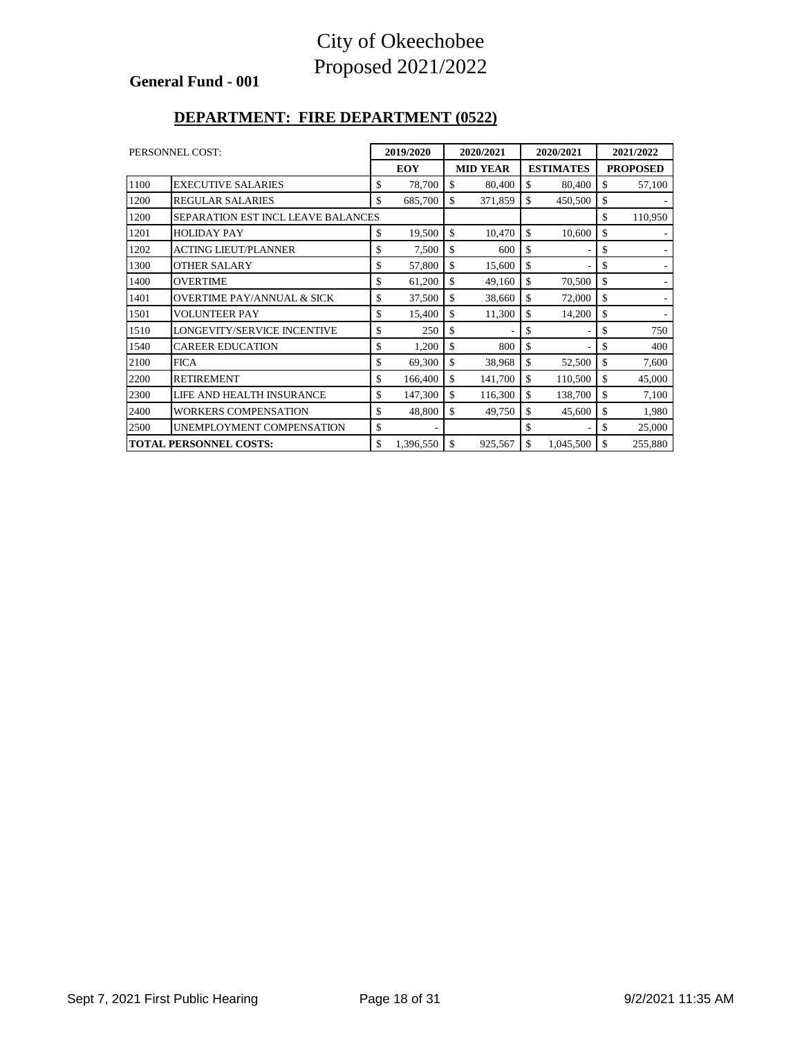### **DEPARTMENT: FIRE DEPARTMENT (0522)**

|      | PERSONNEL COST:                           | 2019/2020                      | 2020/2021       |                  | 2020/2021 | 2021/2022       |
|------|-------------------------------------------|--------------------------------|-----------------|------------------|-----------|-----------------|
|      |                                           | <b>EOY</b>                     | <b>MID YEAR</b> | <b>ESTIMATES</b> |           | <b>PROPOSED</b> |
| 1100 | <b>EXECUTIVE SALARIES</b>                 | \$<br>78,700                   | \$<br>80,400    | \$               | 80,400    | \$<br>57,100    |
| 1200 | <b>REGULAR SALARIES</b>                   | \$<br>685,700                  | \$<br>371,859   | \$               | 450,500   | \$              |
| 1200 | <b>SEPARATION EST INCL LEAVE BALANCES</b> |                                |                 |                  |           | \$<br>110,950   |
| 1201 | <b>HOLIDAY PAY</b>                        | \$<br>19,500                   | \$<br>10,470    | \$               | 10,600    | \$              |
| 1202 | <b>ACTING LIEUT/PLANNER</b>               | \$<br>7,500                    | \$<br>600       | \$               |           | \$              |
| 1300 | <b>OTHER SALARY</b>                       | \$<br>57,800                   | \$<br>15,600    | \$               |           | \$              |
| 1400 | <b>OVERTIME</b>                           | \$<br>61,200                   | \$<br>49,160    | \$               | 70,500    | \$              |
| 1401 | <b>OVERTIME PAY/ANNUAL &amp; SICK</b>     | \$<br>37,500                   | \$<br>38,660    | \$               | 72,000    | \$              |
| 1501 | <b>VOLUNTEER PAY</b>                      | \$<br>15,400                   | \$<br>11,300    | \$               | 14,200    | \$              |
| 1510 | LONGEVITY/SERVICE INCENTIVE               | \$<br>250                      | \$              | \$               |           | \$<br>750       |
| 1540 | <b>CAREER EDUCATION</b>                   | \$<br>1,200                    | \$<br>800       | \$               |           | \$<br>400       |
| 2100 | <b>FICA</b>                               | \$<br>69,300                   | \$<br>38,968    | \$               | 52,500    | \$<br>7,600     |
| 2200 | <b>RETIREMENT</b>                         | \$<br>166,400                  | \$<br>141,700   | \$               | 110,500   | \$<br>45,000    |
| 2300 | LIFE AND HEALTH INSURANCE                 | \$<br>147,300                  | \$<br>116,300   | \$               | 138,700   | \$<br>7,100     |
| 2400 | <b>WORKERS COMPENSATION</b>               | \$<br>48,800                   | \$<br>49,750    | \$               | 45,600    | \$<br>1,980     |
| 2500 | UNEMPLOYMENT COMPENSATION                 | \$<br>$\overline{\phantom{a}}$ |                 | \$               |           | \$<br>25,000    |
|      | <b>TOTAL PERSONNEL COSTS:</b>             | \$<br>1,396,550                | \$<br>925,567   | \$               | 1,045,500 | \$<br>255,880   |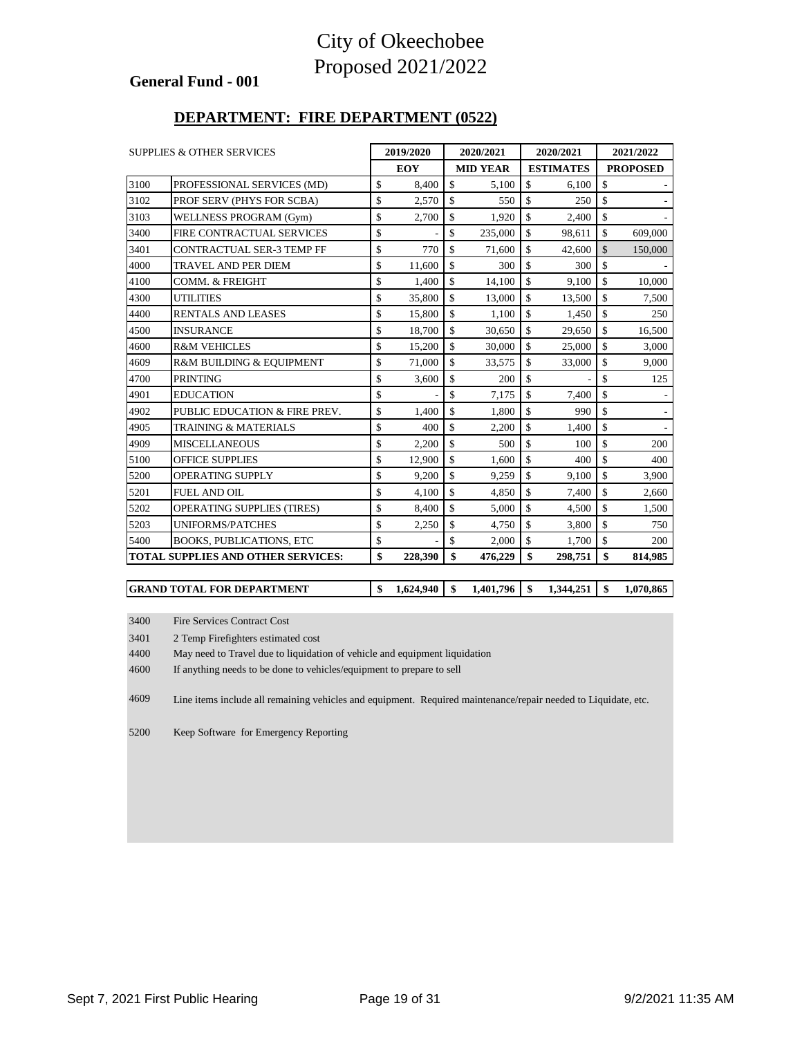#### **DEPARTMENT: FIRE DEPARTMENT (0522)**

|      | <b>SUPPLIES &amp; OTHER SERVICES</b>      | 2019/2020     | 2020/2021       | 2020/2021        |                    | 2021/2022       |
|------|-------------------------------------------|---------------|-----------------|------------------|--------------------|-----------------|
|      |                                           | <b>EOY</b>    | <b>MID YEAR</b> | <b>ESTIMATES</b> |                    | <b>PROPOSED</b> |
| 3100 | PROFESSIONAL SERVICES (MD)                | \$<br>8,400   | \$<br>5.100     | \$<br>6.100      | \$                 |                 |
| 3102 | PROF SERV (PHYS FOR SCBA)                 | \$<br>2,570   | \$<br>550       | \$<br>250        | \$                 |                 |
| 3103 | WELLNESS PROGRAM (Gym)                    | \$<br>2,700   | \$<br>1,920     | \$<br>2,400      | \$                 |                 |
| 3400 | FIRE CONTRACTUAL SERVICES                 | \$            | \$<br>235,000   | \$<br>98,611     | \$                 | 609,000         |
| 3401 | <b>CONTRACTUAL SER-3 TEMP FF</b>          | \$<br>770     | \$<br>71,600    | \$<br>42.600     | \$                 | 150,000         |
| 4000 | <b>TRAVEL AND PER DIEM</b>                | \$<br>11.600  | \$<br>300       | \$<br>300        | \$                 |                 |
| 4100 | COMM. & FREIGHT                           | \$<br>1,400   | \$<br>14,100    | \$<br>9,100      | $\mathbf{\hat{S}}$ | 10,000          |
| 4300 | <b>UTILITIES</b>                          | \$<br>35,800  | \$<br>13,000    | \$<br>13.500     | $\mathcal{S}$      | 7,500           |
| 4400 | <b>RENTALS AND LEASES</b>                 | \$<br>15,800  | \$<br>1.100     | \$<br>1.450      | \$                 | 250             |
| 4500 | <b>INSURANCE</b>                          | \$<br>18,700  | \$<br>30,650    | \$<br>29,650     | \$                 | 16,500          |
| 4600 | <b>R&amp;M VEHICLES</b>                   | \$<br>15,200  | \$<br>30,000    | \$<br>25,000     | \$                 | 3,000           |
| 4609 | R&M BUILDING & EQUIPMENT                  | \$<br>71,000  | \$<br>33,575    | \$<br>33,000     | \$                 | 9,000           |
| 4700 | <b>PRINTING</b>                           | \$<br>3.600   | \$<br>200       | \$               | \$                 | 125             |
| 4901 | <b>EDUCATION</b>                          | \$            | \$<br>7.175     | \$<br>7.400      | \$                 |                 |
| 4902 | PUBLIC EDUCATION & FIRE PREV.             | \$<br>1.400   | \$<br>1.800     | \$<br>990        | \$                 |                 |
| 4905 | <b>TRAINING &amp; MATERIALS</b>           | \$<br>400     | \$<br>2,200     | \$<br>1,400      | \$                 |                 |
| 4909 | <b>MISCELLANEOUS</b>                      | \$<br>2,200   | \$<br>500       | \$<br>100        | \$                 | 200             |
| 5100 | <b>OFFICE SUPPLIES</b>                    | \$<br>12.900  | \$<br>1.600     | \$<br>400        | \$                 | 400             |
| 5200 | OPER ATING SUPPLY                         | \$<br>9.200   | \$<br>9,259     | \$<br>9.100      | $\mathsf{\$}$      | 3,900           |
| 5201 | FUEL AND OIL                              | \$<br>4.100   | \$<br>4.850     | \$<br>7,400      | $\mathbf{\hat{S}}$ | 2,660           |
| 5202 | <b>OPERATING SUPPLIES (TIRES)</b>         | \$<br>8.400   | \$<br>5,000     | \$<br>4.500      | $\mathbf{\hat{S}}$ | 1,500           |
| 5203 | <b>UNIFORMS/PATCHES</b>                   | \$<br>2,250   | \$<br>4,750     | \$<br>3,800      | \$                 | 750             |
| 5400 | <b>BOOKS, PUBLICATIONS, ETC</b>           | \$            | \$<br>2,000     | \$<br>1,700      | \$                 | 200             |
|      | <b>TOTAL SUPPLIES AND OTHER SERVICES:</b> | \$<br>228,390 | \$<br>476,229   | \$<br>298,751    | \$                 | 814,985         |

| <b>GRAND TOTAL FOR DEPARTMENT</b> |  |
|-----------------------------------|--|
|-----------------------------------|--|

**\$ 1,624,940 \$ 1,401,796 \$ 1,344,251 \$ 1,070,865**

Fire Services Contract Cost

2 Temp Firefighters estimated cost

 May need to Travel due to liquidation of vehicle and equipment liquidation

If anything needs to be done to vehicles/equipment to prepare to sell

Line items include all remaining vehicles and equipment. Required maintenance/repair needed to Liquidate, etc.

Keep Software for Emergency Reporting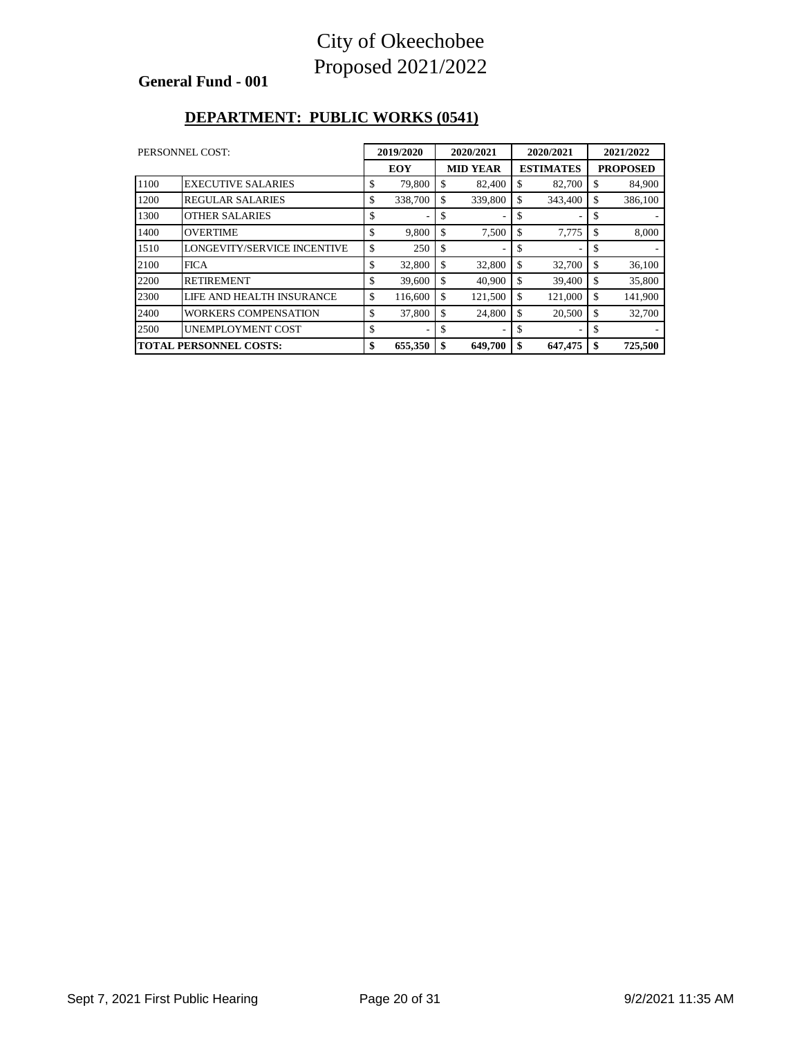#### **DEPARTMENT: PUBLIC WORKS (0541)**

|      | PERSONNEL COST:               |    | 2019/2020  |     | 2020/2021       | 2020/2021        | 2021/2022       |
|------|-------------------------------|----|------------|-----|-----------------|------------------|-----------------|
|      |                               |    | <b>EOY</b> |     | <b>MID YEAR</b> | <b>ESTIMATES</b> | <b>PROPOSED</b> |
| 1100 | <b>EXECUTIVE SALARIES</b>     | \$ | 79,800     | \$  | 82,400          | \$<br>82.700     | \$<br>84,900    |
| 1200 | <b>REGULAR SALARIES</b>       | \$ | 338,700    | \$  | 339,800         | \$<br>343,400    | \$<br>386,100   |
| 1300 | <b>OTHER SALARIES</b>         | \$ |            | \$  |                 | \$               | \$              |
| 1400 | <b>OVERTIME</b>               | \$ | 9,800      | \$  | 7,500           | \$<br>7,775      | \$<br>8,000     |
| 1510 | LONGEVITY/SERVICE INCENTIVE   | \$ | 250        | \$  |                 | \$               | \$              |
| 2100 | <b>FICA</b>                   | \$ | 32,800     | \$  | 32,800          | \$<br>32.700     | \$<br>36,100    |
| 2200 | <b>RETIREMENT</b>             | \$ | 39,600     | \$. | 40,900          | \$<br>39,400     | \$<br>35,800    |
| 2300 | LIFE AND HEALTH INSURANCE     | \$ | 116,600    | \$  | 121.500         | \$<br>121.000    | \$<br>141.900   |
| 2400 | <b>WORKERS COMPENSATION</b>   | \$ | 37,800     | \$  | 24,800          | \$<br>20,500     | \$<br>32,700    |
| 2500 | <b>UNEMPLOYMENT COST</b>      | \$ |            | \$  |                 | \$<br>۰          | \$              |
|      | <b>TOTAL PERSONNEL COSTS:</b> | \$ | 655,350    | \$  | 649,700         | \$<br>647,475    | \$<br>725.500   |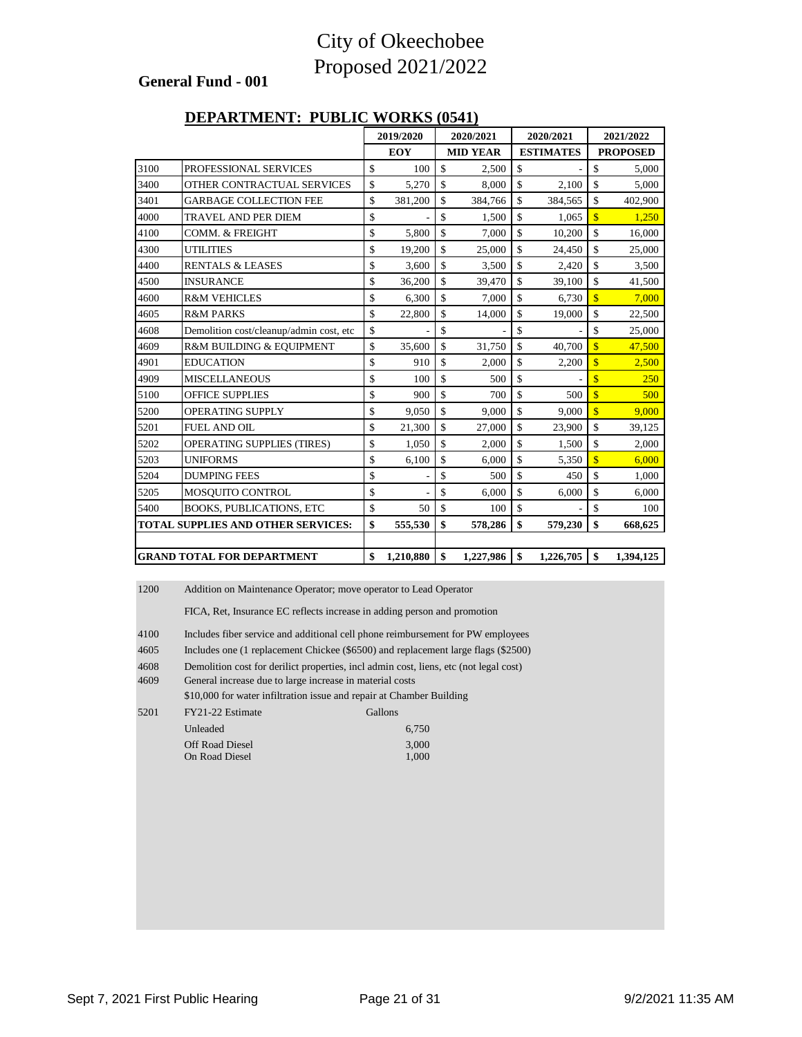|      |                                           |    | 2019/2020  | 2020/2021       |                    | 2020/2021        |                         | 2021/2022       |
|------|-------------------------------------------|----|------------|-----------------|--------------------|------------------|-------------------------|-----------------|
|      |                                           |    | <b>EOY</b> | <b>MID YEAR</b> |                    | <b>ESTIMATES</b> |                         | <b>PROPOSED</b> |
| 3100 | PROFESSIONAL SERVICES                     | \$ | 100        | \$<br>2,500     | \$                 |                  | \$                      | 5,000           |
| 3400 | OTHER CONTRACTUAL SERVICES                | \$ | 5,270      | \$<br>8,000     | \$                 | 2,100            | $\mathcal{S}$           | 5,000           |
| 3401 | <b>GARBAGE COLLECTION FEE</b>             | \$ | 381,200    | \$<br>384,766   | \$                 | 384,565          | -\$                     | 402,900         |
| 4000 | <b>TRAVEL AND PER DIEM</b>                | \$ |            | \$<br>1,500     | \$                 | 1.065            | \$                      | 1,250           |
| 4100 | <b>COMM. &amp; FREIGHT</b>                | \$ | 5,800      | \$<br>7,000     | \$                 | 10,200           | $\mathbf{\hat{S}}$      | 16,000          |
| 4300 | <b>UTILITIES</b>                          | \$ | 19,200     | \$<br>25,000    | \$                 | 24,450           | $\mathbf{\hat{S}}$      | 25,000          |
| 4400 | <b>RENTALS &amp; LEASES</b>               | \$ | 3,600      | \$<br>3,500     | \$                 | 2,420            | $\mathbf{\hat{s}}$      | 3,500           |
| 4500 | <b>INSURANCE</b>                          | \$ | 36,200     | \$<br>39,470    | \$                 | 39,100           | \$                      | 41,500          |
| 4600 | <b>R&amp;M VEHICLES</b>                   | \$ | 6,300      | \$<br>7,000     | \$                 | 6,730            | $\overline{\mathbf{s}}$ | 7,000           |
| 4605 | <b>R&amp;M PARKS</b>                      | \$ | 22,800     | \$<br>14,000    | \$                 | 19,000           | $\mathcal{S}$           | 22,500          |
| 4608 | Demolition cost/cleanup/admin cost, etc   | \$ |            | \$              | \$                 |                  | $\mathbf{\hat{s}}$      | 25,000          |
| 4609 | R&M BUILDING & EQUIPMENT                  | \$ | 35,600     | \$<br>31,750    | \$                 | 40,700           | $\mathbf{s}$            | 47,500          |
| 4901 | <b>EDUCATION</b>                          | \$ | 910        | \$<br>2,000     | \$                 | 2,200            | $\overline{\mathbf{s}}$ | 2,500           |
| 4909 | <b>MISCELLANEOUS</b>                      | \$ | 100        | \$<br>500       | \$                 |                  | $\mathbf{\hat{s}}$      | 250             |
| 5100 | <b>OFFICE SUPPLIES</b>                    | \$ | 900        | \$<br>700       | \$                 | 500              | $\mathbf{s}$            | 500             |
| 5200 | <b>OPERATING SUPPLY</b>                   | \$ | 9,050      | \$<br>9,000     | \$                 | 9,000            | $\overline{\mathbf{S}}$ | 9,000           |
| 5201 | <b>FUEL AND OIL</b>                       | \$ | 21,300     | \$<br>27,000    | \$                 | 23,900           | $\mathcal{S}$           | 39,125          |
| 5202 | <b>OPERATING SUPPLIES (TIRES)</b>         | \$ | 1,050      | \$<br>2,000     | \$                 | 1,500            | $\mathcal{S}$           | 2,000           |
| 5203 | <b>UNIFORMS</b>                           | \$ | 6,100      | \$<br>6,000     | \$                 | 5,350            | $\mathbf{\hat{S}}$      | 6,000           |
| 5204 | <b>DUMPING FEES</b>                       | \$ |            | \$<br>500       | \$                 | 450              | $\mathcal{S}$           | 1,000           |
| 5205 | MOSQUITO CONTROL                          | \$ |            | \$<br>6,000     | \$                 | 6,000            | \$                      | 6,000           |
| 5400 | <b>BOOKS, PUBLICATIONS, ETC</b>           | \$ | 50         | \$<br>100       | \$                 |                  | -\$                     | 100             |
|      | <b>TOTAL SUPPLIES AND OTHER SERVICES:</b> | \$ | 555,530    | \$<br>578,286   | $\mathbf{\hat{S}}$ | 579,230          | $\mathbf{\$}$           | 668,625         |
|      |                                           |    |            |                 |                    |                  |                         |                 |
|      | <b>GRAND TOTAL FOR DEPARTMENT</b>         | \$ | 1,210,880  | \$<br>1,227,986 | $\mathbf{\hat{s}}$ | 1,226,705        | $\mathbf{s}$            | 1.394.125       |

#### **DEPARTMENT: PUBLIC WORKS (0541)**

 Addition on Maintenance Operator; move operator to Lead Operator

FICA, Ret, Insurance EC reflects increase in adding person and promotion

Includes fiber service and additional cell phone reimbursement for PW employees

Includes one (1 replacement Chickee (\$6500) and replacement large flags (\$2500)

Demolition cost for derilict properties, incl admin cost, liens, etc (not legal cost)

General increase due to large increase in material costs

\$10,000 for water infiltration issue and repair at Chamber Building

FY21-22 Estimate Gallons

| Unleaded               | 6.750 |
|------------------------|-------|
| <b>Off Road Diesel</b> | 3.000 |
| On Road Diesel         | 1.000 |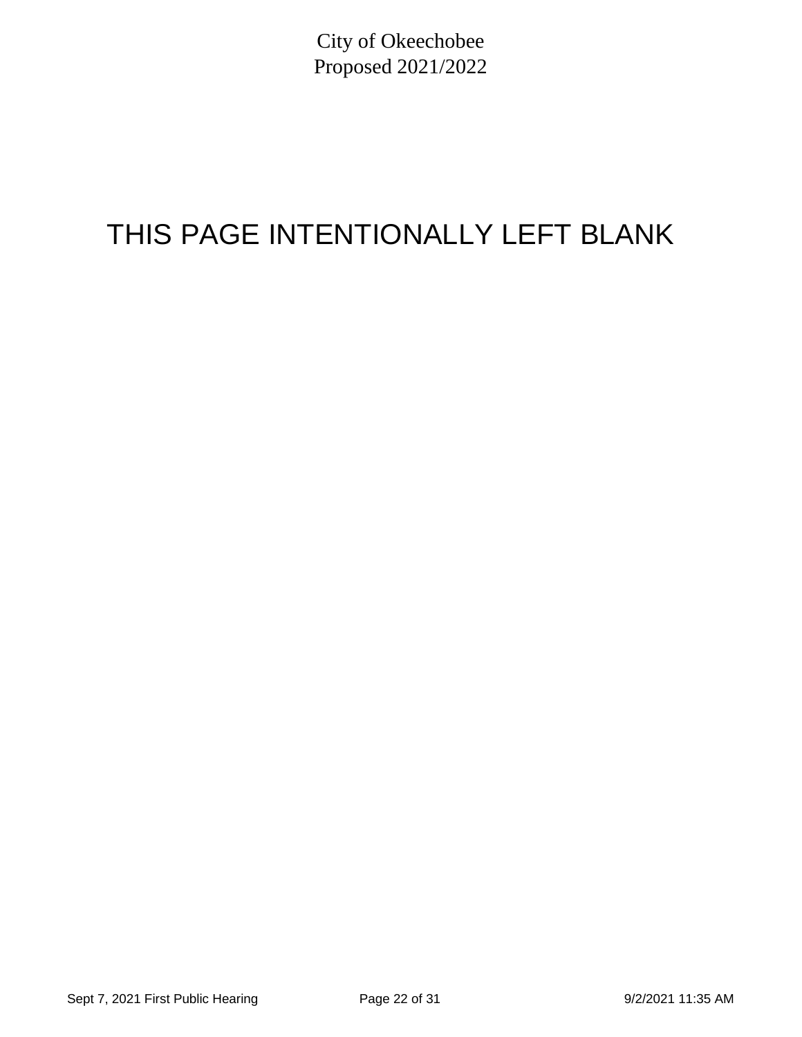# THIS PAGE INTENTIONALLY LEFT BLANK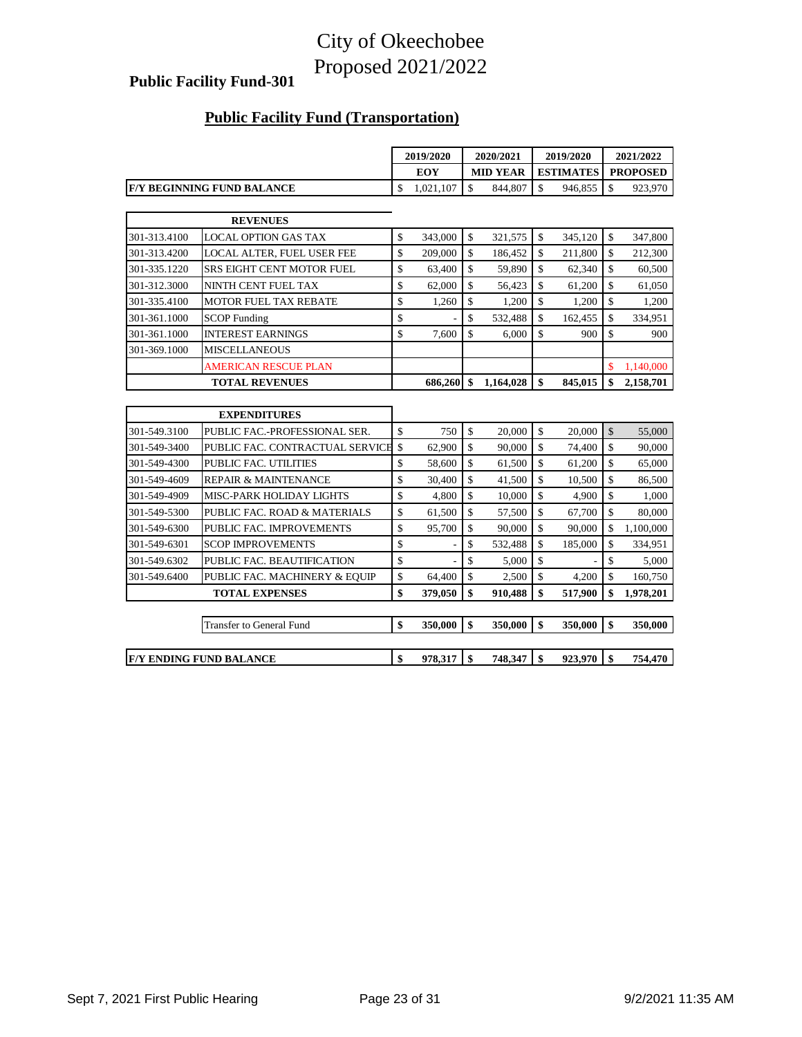# City of Okeechobee Proposed 2021/2022 **Public Facility Fund-301**

#### **Public Facility Fund (Transportation)**

|              |                                   |               | 2019/2020  |                           | 2020/2021       |                    | 2019/2020        |                           | 2021/2022       |
|--------------|-----------------------------------|---------------|------------|---------------------------|-----------------|--------------------|------------------|---------------------------|-----------------|
|              |                                   |               | <b>EOY</b> |                           | <b>MID YEAR</b> |                    | <b>ESTIMATES</b> |                           | <b>PROPOSED</b> |
|              | <b>F/Y BEGINNING FUND BALANCE</b> | \$            | 1,021,107  | $\mathcal{S}$             | 844,807         | $\mathbb{S}$       | 946,855          | $\mathbb{S}$              | 923,970         |
|              |                                   |               |            |                           |                 |                    |                  |                           |                 |
|              | <b>REVENUES</b>                   |               |            |                           |                 |                    |                  |                           |                 |
| 301-313.4100 | LOCAL OPTION GAS TAX              | \$            | 343,000    | $\mathcal{S}$             | 321,575         | $\mathcal{S}$      | 345,120          | $\mathbb{S}$              | 347,800         |
| 301-313.4200 | LOCAL ALTER, FUEL USER FEE        | \$            | 209,000    | $\mathcal{S}$             | 186,452         | $\mathbf{\hat{S}}$ | 211,800          | $\mathbf{\hat{S}}$        | 212,300         |
| 301-335.1220 | SRS EIGHT CENT MOTOR FUEL         | \$            | 63,400     | $\mathcal{S}$             | 59,890          | \$                 | 62,340           | $\mathbf{\hat{S}}$        | 60,500          |
| 301-312.3000 | NINTH CENT FUEL TAX               | \$            | 62,000     | $\mathcal{S}$             | 56,423          | \$                 | 61,200           | $\mathsf{\$}$             | 61,050          |
| 301-335.4100 | MOTOR FUEL TAX REBATE             | \$            | 1,260      | $\mathbf{\hat{S}}$        | 1,200           | \$                 | 1,200            | $\mathsf{\$}$             | 1,200           |
| 301-361.1000 | <b>SCOP</b> Funding               | \$            |            | $\mathcal{S}$             | 532,488         | $\mathsf{\$}$      | 162,455          | $\mathbb{S}$              | 334,951         |
| 301-361.1000 | <b>INTEREST EARNINGS</b>          | \$            | 7,600      | $\mathcal{S}$             | 6,000           | $\mathbf{\hat{S}}$ | 900              | $\mathbf{\hat{S}}$        | 900             |
| 301-369.1000 | MISCELLANEOUS                     |               |            |                           |                 |                    |                  |                           |                 |
|              | <b>AMERICAN RESCUE PLAN</b>       |               |            |                           |                 |                    |                  | $\mathbf S$               | 1,140,000       |
|              | <b>TOTAL REVENUES</b>             |               | 686,260 \$ |                           | 1,164,028       | \$                 | 845,015          | -\$                       | 2,158,701       |
|              |                                   |               |            |                           |                 |                    |                  |                           |                 |
|              | <b>EXPENDITURES</b>               |               |            |                           |                 |                    |                  |                           |                 |
| 301-549.3100 | PUBLIC FAC.-PROFESSIONAL SER.     | \$            | 750        | $\mathcal{S}$             | 20,000          | \$                 | 20,000           | $\mathcal{S}$             | 55,000          |
| 301-549-3400 | PUBLIC FAC. CONTRACTUAL SERVICE   | $\mathcal{S}$ | 62,900     | $\mathcal{S}$             | 90,000          | $\mathcal{S}$      | 74,400           | $\mathbf{\hat{S}}$        | 90,000          |
| 301-549-4300 | PUBLIC FAC. UTILITIES             | \$            | 58,600     | $\mathcal{S}$             | 61,500          | \$                 | 61,200           | $\boldsymbol{\mathsf{S}}$ | 65,000          |
| 301-549-4609 | REPAIR & MAINTENANCE              | \$            | 30.400     | $\mathcal{S}$             | 41,500          | $\mathbf{\hat{S}}$ | 10,500           | $\mathbf{\hat{S}}$        | 86,500          |
| 301-549-4909 | MISC-PARK HOLIDAY LIGHTS          | \$            | 4,800      | $\mathbf{\hat{S}}$        | 10,000          | \$                 | 4,900            | $\mathbf{\hat{S}}$        | 1,000           |
| 301-549-5300 | PUBLIC FAC. ROAD & MATERIALS      | \$            | 61,500     | $\mathcal{S}$             | 57,500          | \$                 | 67,700           | $\mathcal{S}$             | 80,000          |
| 301-549-6300 | PUBLIC FAC. IMPROVEMENTS          | \$            | 95,700     | $\mathbf{\hat{S}}$        | 90,000          | $\mathcal{S}$      | 90,000           | $\mathcal{S}$             | 1,100,000       |
| 301-549-6301 | <b>SCOP IMPROVEMENTS</b>          | \$            |            | $\mathbf{\hat{S}}$        | 532,488         | $\mathbf{\hat{S}}$ | 185,000          | $\mathcal{S}$             | 334,951         |
| 301-549.6302 | PUBLIC FAC. BEAUTIFICATION        | \$            |            | $\mathbf{\hat{S}}$        | 5,000           | $\mathbf{\hat{S}}$ |                  | \$                        | 5,000           |
| 301-549.6400 | PUBLIC FAC. MACHINERY & EQUIP     | \$            | 64,400     | <sup>\$</sup>             | 2,500           | $\mathcal{S}$      | 4,200            | $\mathbf{\hat{S}}$        | 160,750         |
|              | <b>TOTAL EXPENSES</b>             | \$            | 379,050    | \$                        | 910,488         | \$                 | 517,900          | <sup>\$</sup>             | 1,978,201       |
|              |                                   |               |            |                           |                 |                    |                  |                           |                 |
|              | <b>Transfer to General Fund</b>   | \$            | 350,000    | $\boldsymbol{\mathsf{s}}$ | 350,000         | \$                 | 350,000          | $\mathbf{s}$              | 350,000         |
|              |                                   |               |            |                           |                 |                    |                  |                           |                 |
|              | <b>F/Y ENDING FUND BALANCE</b>    | \$            | 978,317    | $\mathbf{\$}$             | 748,347         | $\frac{1}{2}$      | 923,970          | $\boldsymbol{\mathsf{s}}$ | 754,470         |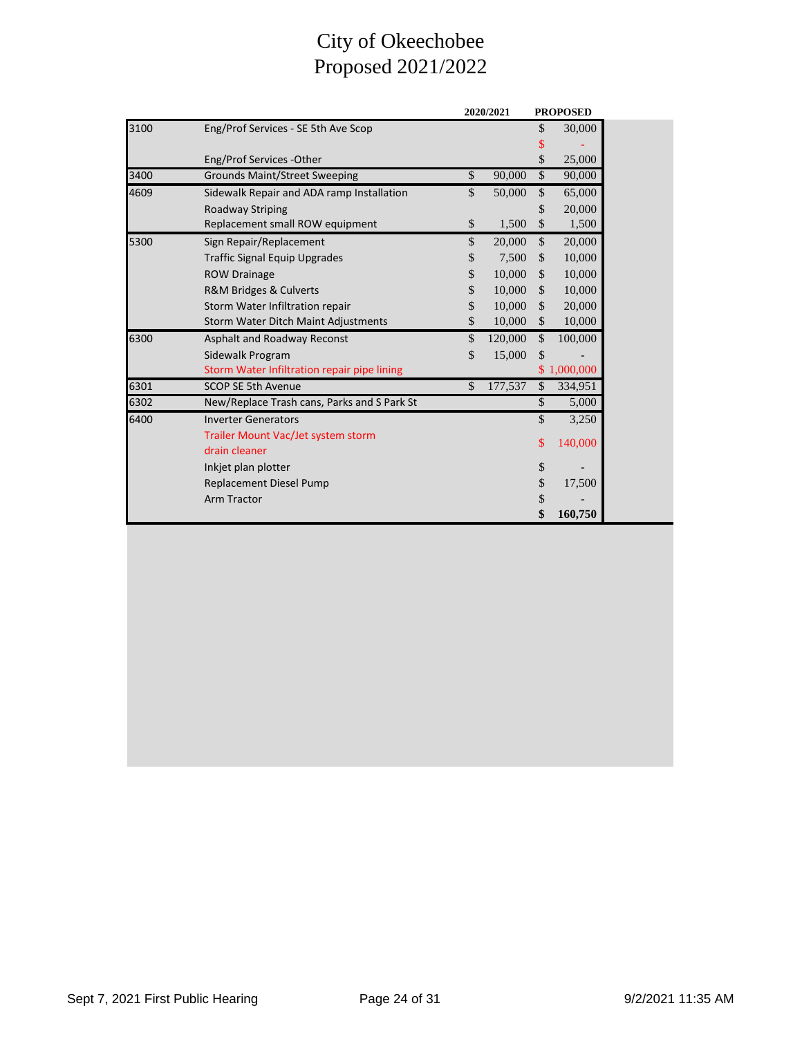|      |                                             |               | 2020/2021 | <b>PROPOSED</b> |
|------|---------------------------------------------|---------------|-----------|-----------------|
| 3100 | Eng/Prof Services - SE 5th Ave Scop         |               |           | \$<br>30,000    |
|      |                                             |               |           | \$              |
|      | Eng/Prof Services - Other                   |               |           | \$<br>25,000    |
| 3400 | <b>Grounds Maint/Street Sweeping</b>        | \$            | 90,000    | \$<br>90,000    |
| 4609 | Sidewalk Repair and ADA ramp Installation   | \$            | 50,000    | \$<br>65,000    |
|      | <b>Roadway Striping</b>                     |               |           | \$<br>20,000    |
|      | Replacement small ROW equipment             | \$            | 1,500     | \$<br>1,500     |
| 5300 | Sign Repair/Replacement                     | \$            | 20,000    | \$<br>20,000    |
|      | <b>Traffic Signal Equip Upgrades</b>        | \$            | 7,500     | \$<br>10,000    |
|      | <b>ROW Drainage</b>                         | \$            | 10,000    | \$<br>10,000    |
|      | <b>R&amp;M Bridges &amp; Culverts</b>       | \$            | 10,000    | \$<br>10,000    |
|      | Storm Water Infiltration repair             | \$            | 10,000    | \$<br>20,000    |
|      | Storm Water Ditch Maint Adjustments         | \$            | 10,000    | \$<br>10,000    |
| 6300 | Asphalt and Roadway Reconst                 | \$            | 120,000   | \$<br>100,000   |
|      | Sidewalk Program                            | \$            | 15,000    | \$              |
|      | Storm Water Infiltration repair pipe lining |               |           | \$1,000,000     |
| 6301 | <b>SCOP SE 5th Avenue</b>                   | $\mathcal{S}$ | 177,537   | \$<br>334,951   |
| 6302 | New/Replace Trash cans, Parks and S Park St |               |           | \$<br>5,000     |
| 6400 | <b>Inverter Generators</b>                  |               |           | \$<br>3,250     |
|      | Trailer Mount Vac/Jet system storm          |               |           | \$<br>140,000   |
|      | drain cleaner                               |               |           |                 |
|      | Inkjet plan plotter                         |               |           | \$              |
|      | <b>Replacement Diesel Pump</b>              |               |           | \$<br>17,500    |
|      | Arm Tractor                                 |               |           | \$              |
|      |                                             |               |           | \$<br>160,750   |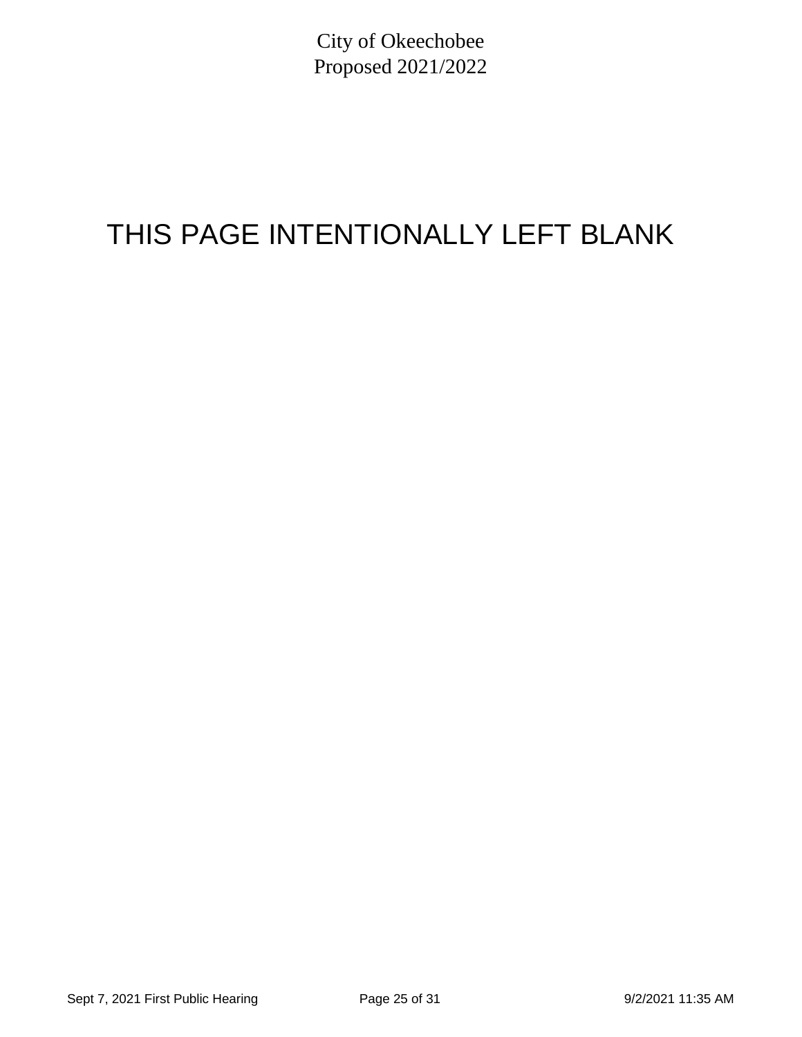# THIS PAGE INTENTIONALLY LEFT BLANK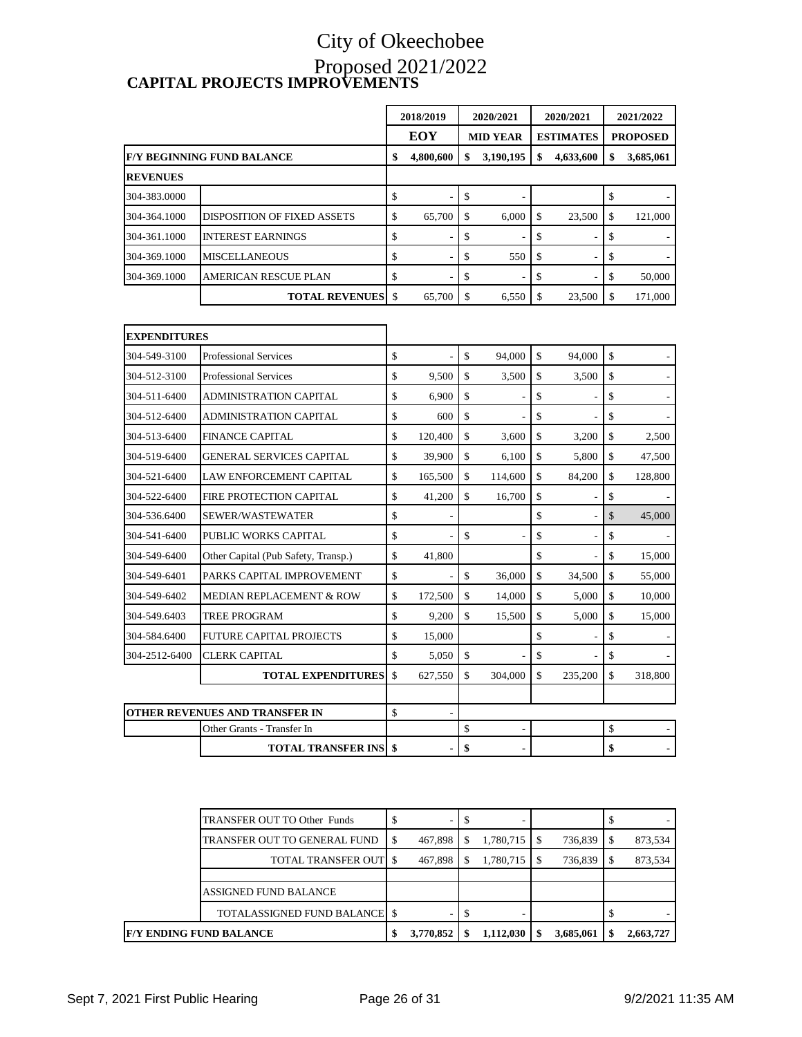# City of Okeechobee Proposed 2021/2022 **CAPITAL PROJECTS IMPROVEMENTS**

|                 |                                    |    | 2018/2019 |               | 2020/2021       | 2020/2021 |                          | 2021/2022 |                 |
|-----------------|------------------------------------|----|-----------|---------------|-----------------|-----------|--------------------------|-----------|-----------------|
|                 |                                    |    | EOY       |               | <b>MID YEAR</b> |           | <b>ESTIMATES</b>         |           | <b>PROPOSED</b> |
|                 | <b>F/Y BEGINNING FUND BALANCE</b>  | \$ | 4,800,600 | \$            | 3,190,195       | \$        | 4,633,600                | \$        | 3,685,061       |
| <b>REVENUES</b> |                                    |    |           |               |                 |           |                          |           |                 |
| 304-383.0000    |                                    | S  |           | \$            |                 |           |                          | \$        |                 |
| 304-364.1000    | <b>DISPOSITION OF FIXED ASSETS</b> | \$ | 65,700    | \$            | 6.000           | \$        | 23,500                   | \$        | 121,000         |
| 304-361.1000    | <b>INTEREST EARNINGS</b>           | \$ |           | \$            |                 | S         |                          | \$        |                 |
| 304-369.1000    | <b>MISCELLANEOUS</b>               | \$ |           | \$            | 550             | \$        | $\overline{\phantom{a}}$ | \$        |                 |
| 304-369.1000    | <b>AMERICAN RESCUE PLAN</b>        | \$ |           | \$            |                 | S         |                          | \$        | 50,000          |
|                 | <b>TOTAL REVENUES</b> \$           |    | 65,700    | <sup>\$</sup> | 6,550           | S         | 23,500                   | \$        | 171,000         |

| <b>EXPENDITURES</b> |                                       |          |                          |              |         |               |               |
|---------------------|---------------------------------------|----------|--------------------------|--------------|---------|---------------|---------------|
| 304-549-3100        | <b>Professional Services</b>          | \$       |                          | \$           | 94.000  | \$<br>94.000  | \$            |
| 304-512-3100        | <b>Professional Services</b>          | \$       | 9.500                    | $\mathbb{S}$ | 3.500   | \$<br>3.500   | \$            |
| 304-511-6400        | <b>ADMINISTRATION CAPITAL</b>         | \$       | 6.900                    | \$           |         | \$            | \$            |
| 304-512-6400        | <b>ADMINISTRATION CAPITAL</b>         | \$       | 600                      | \$           |         | \$            | \$            |
| 304-513-6400        | <b>FINANCE CAPITAL</b>                | \$       | 120,400                  | \$           | 3,600   | \$<br>3,200   | \$<br>2,500   |
| 304-519-6400        | <b>GENERAL SERVICES CAPITAL</b>       | \$       | 39,900                   | \$           | 6.100   | \$<br>5,800   | \$<br>47,500  |
| 304-521-6400        | <b>LAW ENFORCEMENT CAPITAL</b>        | \$       | 165,500                  | \$           | 114,600 | \$<br>84,200  | \$<br>128,800 |
| 304-522-6400        | FIRE PROTECTION CAPITAL               | \$       | 41,200                   | \$           | 16,700  | \$            | \$            |
| 304-536.6400        | SEWER/WASTEWATER                      | \$       | $\overline{\phantom{a}}$ |              |         | \$            | \$<br>45,000  |
| 304-541-6400        | PUBLIC WORKS CAPITAL                  | \$       |                          | \$           |         | \$            | \$            |
| 304-549-6400        | Other Capital (Pub Safety, Transp.)   | \$       | 41.800                   |              |         | \$            | \$<br>15,000  |
| 304-549-6401        | PARKS CAPITAL IMPROVEMENT             | \$       |                          | \$           | 36,000  | \$<br>34,500  | \$<br>55,000  |
| 304-549-6402        | <b>MEDIAN REPLACEMENT &amp; ROW</b>   | \$       | 172,500                  | \$           | 14,000  | \$<br>5,000   | \$<br>10,000  |
| 304-549.6403        | <b>TREE PROGRAM</b>                   | \$       | 9,200                    | \$           | 15,500  | \$<br>5,000   | \$<br>15,000  |
| 304-584.6400        | <b>FUTURE CAPITAL PROJECTS</b>        | \$       | 15,000                   |              |         | \$            | \$            |
| 304-2512-6400       | <b>CLERK CAPITAL</b>                  | \$       | 5.050                    | \$           |         | \$            | \$            |
|                     | <b>TOTAL EXPENDITURES</b>             | \$       | 627,550                  | \$           | 304,000 | \$<br>235,200 | \$<br>318,800 |
|                     |                                       |          |                          |              |         |               |               |
|                     | <b>OTHER REVENUES AND TRANSFER IN</b> |          | $\overline{\phantom{a}}$ |              |         |               |               |
|                     | Other Grants - Transfer In            |          |                          | \$           | ٠       |               | \$            |
|                     | <b>TOTAL TRANSFER INS</b>             | <b>S</b> |                          | \$           |         |               | \$            |

| <b>F/Y ENDING FUND BALANCE</b> |                                       |   | 3,770,852 | 1,112,030 | \$ | 3,685,061 |               | 2,663,727 |
|--------------------------------|---------------------------------------|---|-----------|-----------|----|-----------|---------------|-----------|
|                                | <b>TOTALASSIGNED FUND BALANCE \\$</b> |   | ۰         | \$        |    |           |               |           |
|                                | <b>ASSIGNED FUND BALANCE</b>          |   |           |           |    |           |               |           |
|                                |                                       |   |           |           |    |           |               |           |
|                                | <b>TOTAL TRANSFER OUT S</b>           |   | 467,898   | 1,780,715 | S  | 736,839   | <sup>\$</sup> | 873,534   |
|                                | TRANSFER OUT TO GENERAL FUND          | S | 467,898   | 1,780,715 | S  | 736,839   | -S            | 873,534   |
|                                | <b>TRANSFER OUT TO Other Funds</b>    |   |           |           |    |           |               |           |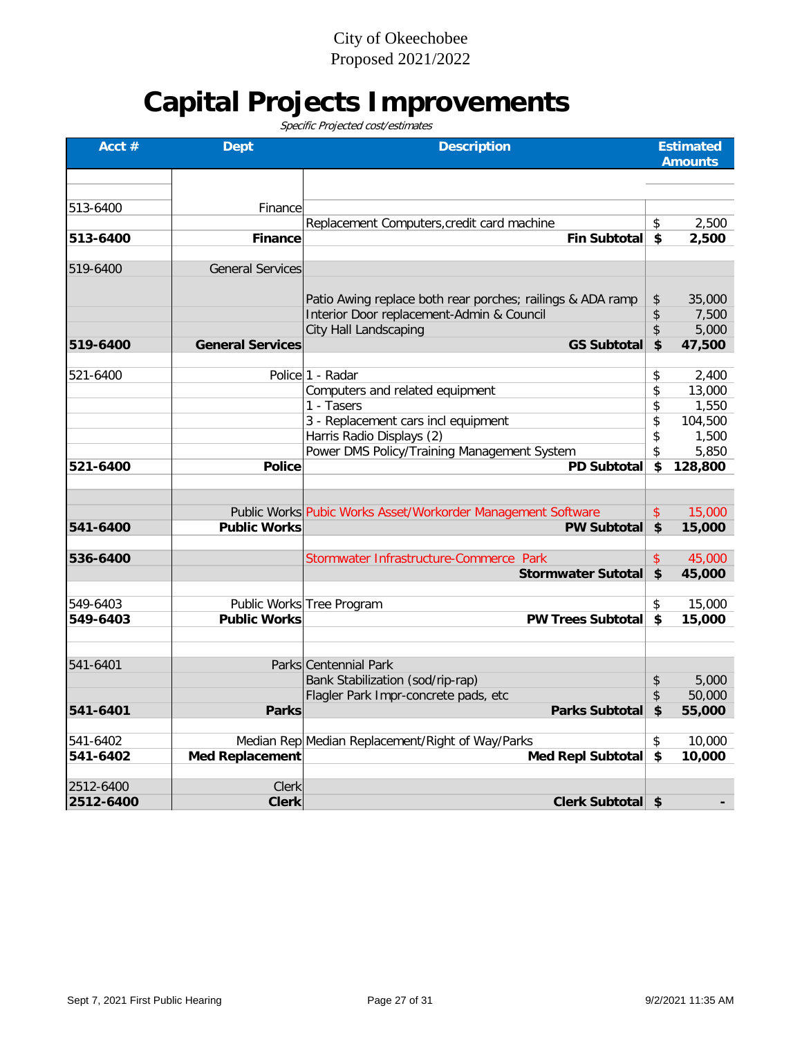# **Capital Projects Improvements**

Specific Projected cost/estimates

| Acct $#$  | <b>Description</b><br><b>Dept</b><br><b>Estimated</b><br><b>Amounts</b> |                                                               |                            |         |  |  |  |  |
|-----------|-------------------------------------------------------------------------|---------------------------------------------------------------|----------------------------|---------|--|--|--|--|
|           |                                                                         |                                                               |                            |         |  |  |  |  |
|           |                                                                         |                                                               |                            |         |  |  |  |  |
| 513-6400  | Finance                                                                 |                                                               |                            |         |  |  |  |  |
|           |                                                                         | Replacement Computers, credit card machine                    | \$                         | 2,500   |  |  |  |  |
| 513-6400  | <b>Finance</b>                                                          | <b>Fin Subtotal</b>                                           | \$                         | 2,500   |  |  |  |  |
| 519-6400  | <b>General Services</b>                                                 |                                                               |                            |         |  |  |  |  |
|           |                                                                         |                                                               |                            |         |  |  |  |  |
|           |                                                                         | Patio Awing replace both rear porches; railings & ADA ramp    | \$                         | 35,000  |  |  |  |  |
|           |                                                                         | Interior Door replacement-Admin & Council                     | \$                         | 7,500   |  |  |  |  |
|           |                                                                         | City Hall Landscaping                                         | \$                         | 5,000   |  |  |  |  |
| 519-6400  | <b>General Services</b>                                                 | <b>GS Subtotall</b>                                           | \$                         | 47,500  |  |  |  |  |
| 521-6400  |                                                                         | Police 1 - Radar                                              | \$                         | 2,400   |  |  |  |  |
|           |                                                                         | Computers and related equipment                               | \$                         | 13,000  |  |  |  |  |
|           |                                                                         | 1 - Tasers                                                    | \$                         | 1,550   |  |  |  |  |
|           |                                                                         | 3 - Replacement cars incl equipment                           | \$                         | 104,500 |  |  |  |  |
|           |                                                                         | Harris Radio Displays (2)                                     | \$                         | 1,500   |  |  |  |  |
|           |                                                                         | Power DMS Policy/Training Management System                   | \$                         | 5,850   |  |  |  |  |
| 521-6400  | <b>Police</b>                                                           | <b>PD Subtotal</b>                                            | \$                         | 128,800 |  |  |  |  |
|           |                                                                         |                                                               |                            |         |  |  |  |  |
|           |                                                                         | Public Works Public Works Asset/Workorder Management Software | \$                         | 15,000  |  |  |  |  |
| 541-6400  | <b>Public Works</b>                                                     | <b>PW Subtotall</b>                                           | \$                         | 15,000  |  |  |  |  |
|           |                                                                         |                                                               |                            |         |  |  |  |  |
| 536-6400  |                                                                         | Stormwater Infrastructure-Commerce Park                       | $\sqrt{2}$                 | 45,000  |  |  |  |  |
|           |                                                                         | <b>Stormwater Sutotal</b>                                     | \$                         | 45,000  |  |  |  |  |
| 549-6403  |                                                                         | Public Works Tree Program                                     | \$                         | 15,000  |  |  |  |  |
| 549-6403  | <b>Public Works</b>                                                     | <b>PW Trees Subtotal</b>                                      | \$                         | 15,000  |  |  |  |  |
|           |                                                                         |                                                               |                            |         |  |  |  |  |
|           |                                                                         |                                                               |                            |         |  |  |  |  |
| 541-6401  |                                                                         | Parks Centennial Park                                         |                            |         |  |  |  |  |
|           |                                                                         | Bank Stabilization (sod/rip-rap)                              | \$                         | 5,000   |  |  |  |  |
|           |                                                                         | Flagler Park Impr-concrete pads, etc                          | \$                         | 50,000  |  |  |  |  |
| 541-6401  | <b>Parks</b>                                                            | Parks Subtotal                                                | \$                         | 55,000  |  |  |  |  |
| 541-6402  |                                                                         | Median Rep Median Replacement/Right of Way/Parks              | \$                         | 10,000  |  |  |  |  |
| 541-6402  | <b>Med Replacement</b>                                                  | Med Repl Subtotal                                             | $\overline{\mathbf{S}}$    | 10,000  |  |  |  |  |
|           |                                                                         |                                                               |                            |         |  |  |  |  |
| 2512-6400 | Clerk                                                                   |                                                               |                            |         |  |  |  |  |
| 2512-6400 | <b>Clerk</b>                                                            | <b>Clerk Subtotall</b>                                        | $\boldsymbol{\mathsf{\$}}$ |         |  |  |  |  |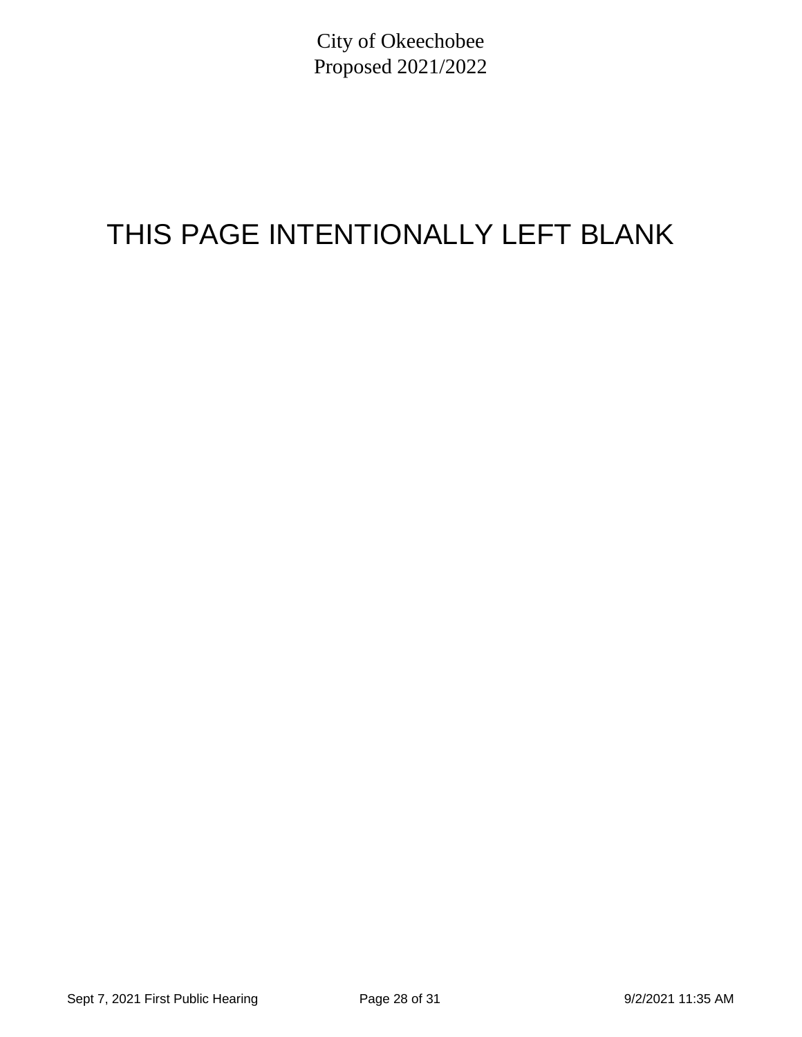# THIS PAGE INTENTIONALLY LEFT BLANK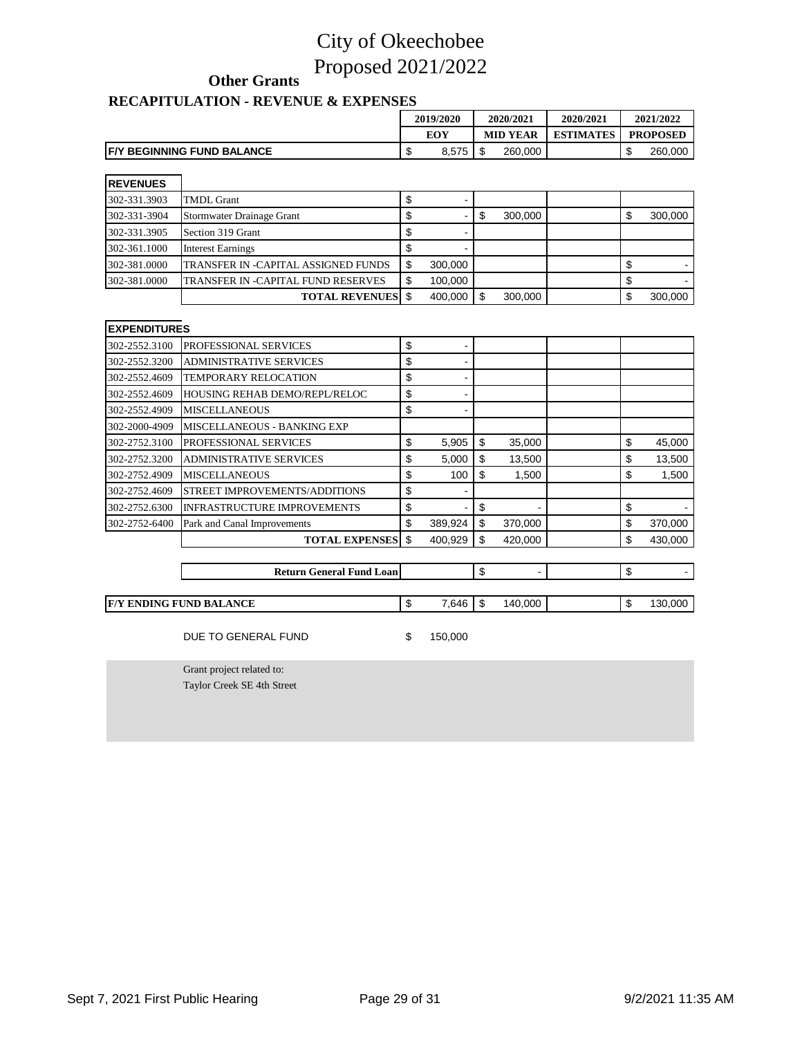**Other Grants**

 $\overline{1}$ 

 $\blacksquare$ 

#### **RECAPITULATION - REVENUE & EXPENSES**

|                                    |    | 2019/2020 |   | 2020/2021       | 2020/2021        | 2021/2022       |
|------------------------------------|----|-----------|---|-----------------|------------------|-----------------|
|                                    |    | EOY       |   | <b>MID YEAR</b> | <b>ESTIMATES</b> | <b>PROPOSED</b> |
| <b>IF/Y BEGINNING FUND BALANCE</b> | ۰D | 8.575     | 灬 | 260.000         |                  | 260,000         |

| <b>IREVENUES</b> |                                            |    |         |         |    |         |
|------------------|--------------------------------------------|----|---------|---------|----|---------|
| 302-331.3903     | <b>TMDL Grant</b>                          | S  |         |         |    |         |
| 302-331-3904     | Stormwater Drainage Grant                  | \$ |         | 300.000 | \$ | 300,000 |
| 302-331.3905     | Section 319 Grant                          | \$ |         |         |    |         |
| 302-361.1000     | <b>Interest Earnings</b>                   | S  |         |         |    |         |
| 302-381.0000     | <b>TRANSFER IN -CAPITAL ASSIGNED FUNDS</b> | \$ | 300,000 |         | æ  |         |
| 302-381.0000     | TRANSFER IN -CAPITAL FUND RESERVES         | \$ | 100,000 |         | ۰D |         |
|                  | <b>TOTAL REVENUES</b> \$                   |    | 400.000 | 300.000 | \$ | 300,000 |

| <b>EXPENDITURES</b> |                                      |               |               |    |         |
|---------------------|--------------------------------------|---------------|---------------|----|---------|
| 302-2552.3100       | <b>PROFESSIONAL SERVICES</b>         | \$            |               |    |         |
| 302-2552.3200       | <b>ADMINISTRATIVE SERVICES</b>       | \$            |               |    |         |
| 302-2552.4609       | <b>TEMPORARY RELOCATION</b>          | \$            |               |    |         |
| 302-2552.4609       | <b>HOUSING REHAB DEMO/REPL/RELOC</b> | \$            |               |    |         |
| 302-2552.4909       | <b>MISCELLANEOUS</b>                 | \$            |               |    |         |
| 302-2000-4909       | MISCELLANEOUS - BANKING EXP          |               |               |    |         |
| 302-2752.3100       | <b>PROFESSIONAL SERVICES</b>         | \$<br>5,905   | \$<br>35,000  | \$ | 45,000  |
| 302-2752.3200       | <b>ADMINISTRATIVE SERVICES</b>       | \$<br>5,000   | \$<br>13,500  | \$ | 13,500  |
| 302-2752.4909       | <b>MISCELLANEOUS</b>                 | \$<br>100     | \$<br>1,500   | \$ | 1,500   |
| 302-2752.4609       | STREET IMPROVEMENTS/ADDITIONS        | \$            |               |    |         |
| 302-2752.6300       | <b>INFRASTRUCTURE IMPROVEMENTS</b>   | \$            | \$            | \$ |         |
| 302-2752-6400       | Park and Canal Improvements          | \$<br>389,924 | \$<br>370,000 | \$ | 370,000 |
|                     | <b>TOTAL EXPENSES</b> \$             | 400,929       | \$<br>420,000 | \$ | 430,000 |

| в.,<br>Loan<br>Fund<br>-eneral<br>------<br>лc |  | m<br>۰D |  |
|------------------------------------------------|--|---------|--|
|                                                |  |         |  |

#### **F/Y ENDING FUND BALANCE 130,000 \$** 7,646 **\$** 140,000 **\$** 130,000

DUE TO GENERAL FUND  $$ 150,000$ 

Grant project related to: Taylor Creek SE 4th Street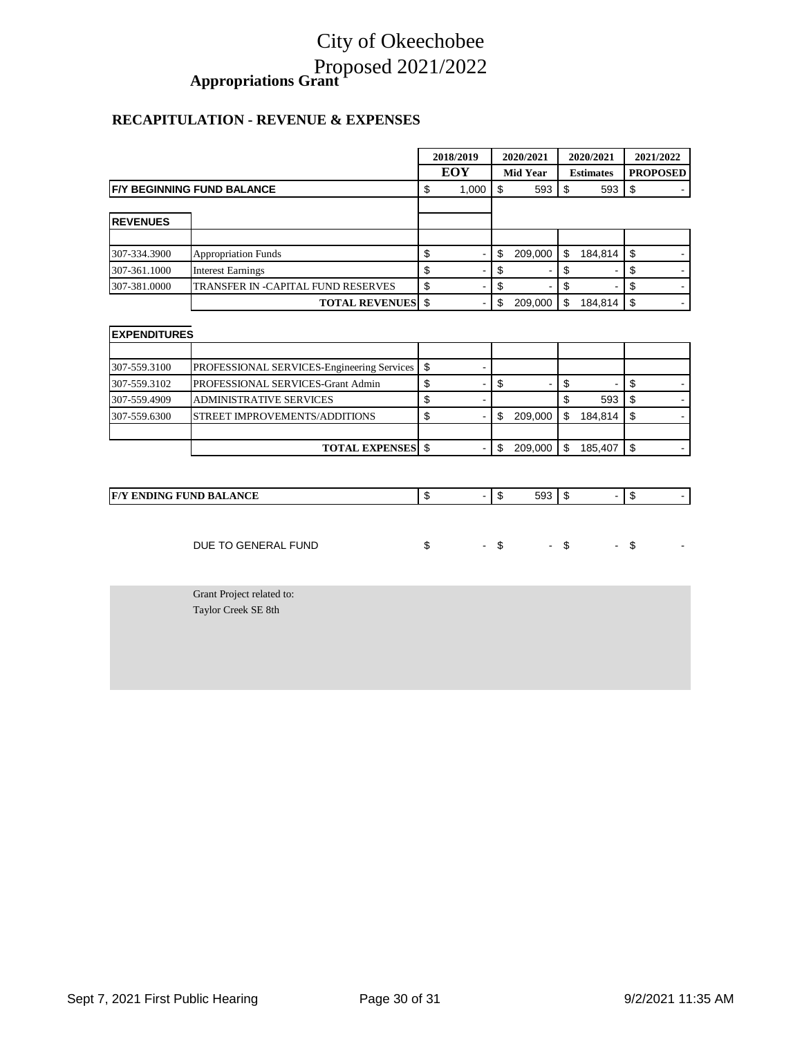### City of Okeechobee Proposed 2021/2022 **Appropriations Grant**

#### **RECAPITULATION - REVENUE & EXPENSES**

|                 |                                    | 2018/2019 |       |    | 2020/2021       |           | 2020/2021        |     | 2021/2022       |
|-----------------|------------------------------------|-----------|-------|----|-----------------|-----------|------------------|-----|-----------------|
|                 |                                    |           | EOY   |    | <b>Mid Year</b> |           | <b>Estimates</b> |     | <b>PROPOSED</b> |
|                 | <b>F/Y BEGINNING FUND BALANCE</b>  | S         | 1,000 | S  | 593             | 593<br>\$ |                  | \$. |                 |
|                 |                                    |           |       |    |                 |           |                  |     |                 |
| <b>REVENUES</b> |                                    |           |       |    |                 |           |                  |     |                 |
|                 |                                    |           |       |    |                 |           |                  |     |                 |
| 307-334.3900    | <b>Appropriation Funds</b>         | \$        |       | \$ | 209,000         | \$        | 184,814          | S   |                 |
| 307-361.1000    | <b>Interest Earnings</b>           | \$        |       | S  |                 | \$        |                  |     |                 |
| 307-381.0000    | TRANSFER IN -CAPITAL FUND RESERVES | \$        |       | \$ |                 | S         |                  |     |                 |
|                 | <b>TOTAL REVENUES</b> \$           |           |       | J  | 209,000         | S         | 184.814          |     |                 |

| <b>IEXPENDITURES</b> |                                                        |   |   |         |         |    |  |
|----------------------|--------------------------------------------------------|---|---|---------|---------|----|--|
|                      |                                                        |   |   |         |         |    |  |
| 307-559.3100         | <b>PROFESSIONAL SERVICES-Engineering Services   \$</b> |   |   |         |         |    |  |
| 307-559.3102         | <b>PROFESSIONAL SERVICES-Grant Admin</b>               | - | ъ |         |         | ۰D |  |
| 307-559.4909         | <b>ADMINISTRATIVE SERVICES</b>                         | - |   |         | 593     |    |  |
| 307-559.6300         | <b>STREET IMPROVEMENTS/ADDITIONS</b>                   | - |   | 209,000 | 184.814 |    |  |
|                      |                                                        |   |   |         |         |    |  |
|                      | <b>TOTAL EXPENSES</b> \$                               |   |   | 209,000 | 185,407 |    |  |

| roc<br>A NOT<br>$\sim$ $\sim$<br>F/<br>$\sim$ and the rate $\sim$<br>.<br>nu:<br>-<br>$\sim$ $\sim$<br>- 11<br>JJ۰<br>- 14<br>. .<br>$\sim$ |
|---------------------------------------------------------------------------------------------------------------------------------------------|
|---------------------------------------------------------------------------------------------------------------------------------------------|

DUE TO GENERAL FUND \$ 5 - \$ - \$

Grant Project related to: Taylor Creek SE 8th